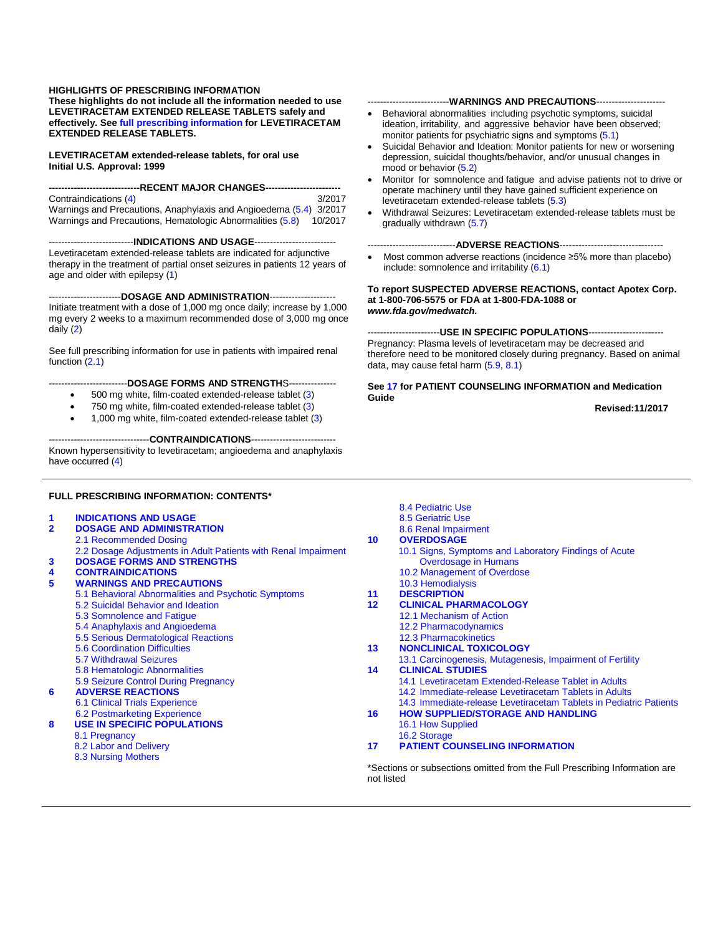#### **HIGHLIGHTS OF PRESCRIBING INFORMATION**

**These highlights do not include all the information needed to use LEVETIRACETAM EXTENDED RELEASE TABLETS safely and effectively. Se[e full prescribing information](#page-1-0) for LEVETIRACETAM EXTENDED RELEASE TABLETS.**

**LEVETIRACETAM extended-release tablets, for oral use Initial U.S. Approval: 1999**

---RECENT MAJOR CHANGES-------Contraindications [\(4\)](#page-2-0) 3/2017 Warnings and Precautions, Anaphylaxis and Angioedema [\(5.4\)](#page-5-0) 3/2017 Warnings and Precautions, Hematologic Abnormalities [\(5.8\)](#page-6-0) 10/2017

---------------------------**INDICATIONS AND USAGE**-------------------------- Levetiracetam extended-release tablets are indicated for adjunctive therapy in the treatment of partial onset seizures in patients 12 years of age and older with epilepsy [\(1\)](#page-1-1)

-----------------------**DOSAGE AND ADMINISTRATION**--------------------- Initiate treatment with a dose of 1,000 mg once daily; increase by 1,000 mg every 2 weeks to a maximum recommended dose of 3,000 mg once daily [\(2\)](#page-1-2)

See full prescribing information for use in patients with impaired renal function [\(2.1\)](#page-1-3)

#### -------------------------**DOSAGE FORMS AND STRENGTH**S---------------

- 500 mg white, film-coated extended-release tablet [\(3\)](#page-2-1)
- 750 mg white, film-coated extended-release tablet [\(3\)](#page-2-1)
- 1,000 mg white, film-coated extended-release tablet [\(3\)](#page-2-1)

--------------------------------**CONTRAINDICATIONS**---------------------------

Known hypersensitivity to levetiracetam; angioedema and anaphylaxis have occurred [\(4\)](#page-2-0)

#### **FULL PRESCRIBING INFORMATION: CONTENTS\***

| 1              | <b>INDICATIONS AND USAGE</b>                                   |                   | 8.5 Geriatric Use                                                          |
|----------------|----------------------------------------------------------------|-------------------|----------------------------------------------------------------------------|
| $\overline{2}$ | <b>DOSAGE AND ADMINISTRATION</b>                               |                   | 8.6 Renal Impairment                                                       |
|                | 2.1 Recommended Dosing                                         | 10 <sup>1</sup>   | <b>OVERDOSAGE</b>                                                          |
|                | 2.2 Dosage Adjustments in Adult Patients with Renal Impairment |                   | 10.1 Signs, Symptoms and Laboratory Findings of Acute                      |
| 3              | <b>DOSAGE FORMS AND STRENGTHS</b>                              |                   | Overdosage in Humans                                                       |
| 4              | <b>CONTRAINDICATIONS</b>                                       |                   | 10.2 Management of Overdose                                                |
| 5              | <b>WARNINGS AND PRECAUTIONS</b>                                |                   | 10.3 Hemodialysis                                                          |
|                | 5.1 Behavioral Abnormalities and Psychotic Symptoms            | 11                | <b>DESCRIPTION</b>                                                         |
|                | 5.2 Suicidal Behavior and Ideation                             | $12 \overline{ }$ | <b>CLINICAL PHARMACOLOGY</b>                                               |
|                | 5.3 Somnolence and Fatigue                                     |                   | 12.1 Mechanism of Action                                                   |
|                | 5.4 Anaphylaxis and Angioedema                                 |                   | 12.2 Pharmacodynamics                                                      |
|                | 5.5 Serious Dermatological Reactions                           |                   | <b>12.3 Pharmacokinetics</b>                                               |
|                | <b>5.6 Coordination Difficulties</b>                           | 13                | <b>NONCLINICAL TOXICOLOGY</b>                                              |
|                | 5.7 Withdrawal Seizures                                        |                   | 13.1 Carcinogenesis, Mutagenesis, Impairment of Fertility                  |
|                | 5.8 Hematologic Abnormalities                                  | 14                | <b>CLINICAL STUDIES</b>                                                    |
|                | 5.9 Seizure Control During Pregnancy                           |                   | 14.1 Levetiracetam Extended-Release Tablet in Adults                       |
| 6              | <b>ADVERSE REACTIONS</b>                                       |                   | 14.2 Immediate-release Levetiracetam Tablets in Adults                     |
|                | <b>6.1 Clinical Trials Experience</b>                          |                   | 14.3 Immediate-release Levetiracetam Tablets in Pediatric Patients         |
|                | 6.2 Postmarketing Experience                                   | 16                | <b>HOW SUPPLIED/STORAGE AND HANDLING</b>                                   |
| 8              | <b>USE IN SPECIFIC POPULATIONS</b>                             |                   | 16.1 How Supplied                                                          |
|                | 8.1 Pregnancy                                                  |                   | 16.2 Storage                                                               |
|                | 8.2 Labor and Delivery                                         | 17                | <b>PATIENT COUNSELING INFORMATION</b>                                      |
|                | 8.3 Nursing Mothers                                            |                   |                                                                            |
|                |                                                                |                   | *Sections or subsections omitted from the Full Prescribing Information are |
|                |                                                                | not listed        |                                                                            |

[8.4 Pediatric Use](#page-12-1)

#### monitor patients for psychiatric signs and symptoms [\(5.1\)](#page-2-2) • Suicidal Behavior and Ideation: Monitor patients for new or worsening depression, suicidal thoughts/behavior, and/or unusual changes in mood or behavior [\(5.2\)](#page-3-0)

--------------------------**WARNINGS AND PRECAUTIONS**---------------------- • Behavioral abnormalities including psychotic symptoms, suicidal ideation, irritability, and aggressive behavior have been observed;

- Monitor for somnolence and fatigue and advise patients not to drive or operate machinery until they have gained sufficient experience on levetiracetam extended-release tablets [\(5.3\)](#page-4-0)
- Withdrawal Seizures: Levetiracetam extended-release tablets must be gradually withdrawn [\(5.7\)](#page-6-1)

#### ----------------------------**ADVERSE REACTIONS**---------------------------------

Most common adverse reactions (incidence ≥5% more than placebo) include: somnolence and irritability [\(6.1\)](#page-7-0)

**To report SUSPECTED ADVERSE REACTIONS, contact Apotex Corp. at 1-800-706-5575 or FDA at 1-800-FDA-1088 or**  *www.fda.gov/medwatch.*

-----------------------**USE IN SPECIFIC POPULATIONS**------------------------ Pregnancy: Plasma levels of levetiracetam may be decreased and therefore need to be monitored closely during pregnancy. Based on animal data, may cause fetal harm [\(5.9,](#page-7-1) [8.1\)](#page-11-0)

**See [17](#page-26-0) for PATIENT COUNSELING INFORMATION and Medication Guide**

 **Revised:11/2017**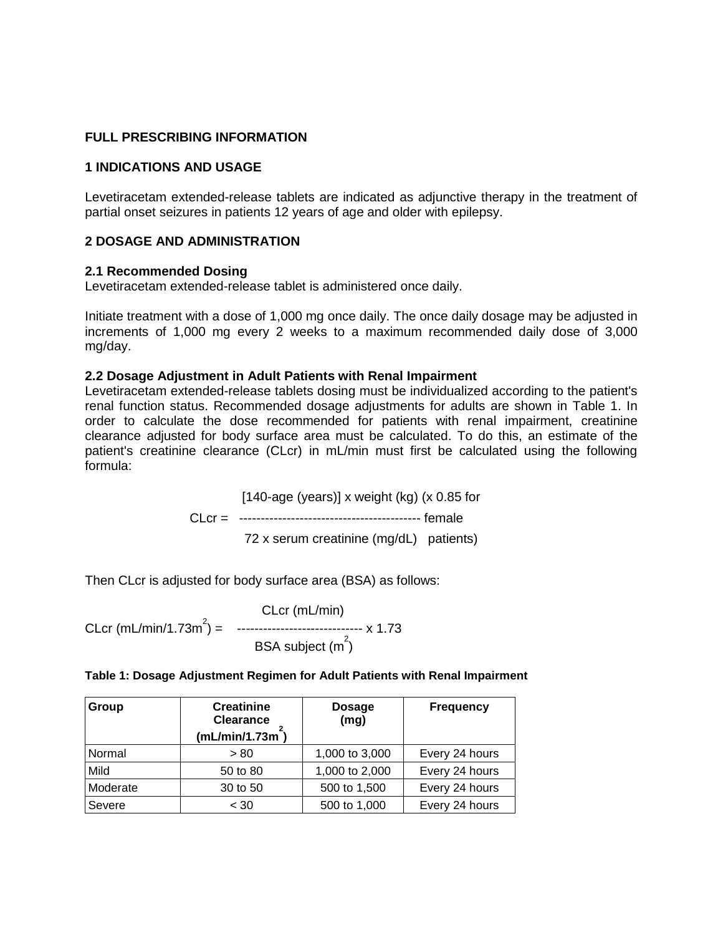### <span id="page-1-0"></span>**FULL PRESCRIBING INFORMATION**

#### <span id="page-1-1"></span>**1 INDICATIONS AND USAGE**

Levetiracetam extended-release tablets are indicated as adjunctive therapy in the treatment of partial onset seizures in patients 12 years of age and older with epilepsy.

### <span id="page-1-2"></span>**2 DOSAGE AND ADMINISTRATION**

#### <span id="page-1-3"></span>**2.1 Recommended Dosing**

Levetiracetam extended-release tablet is administered once daily.

Initiate treatment with a dose of 1,000 mg once daily. The once daily dosage may be adjusted in increments of 1,000 mg every 2 weeks to a maximum recommended daily dose of 3,000 mg/day.

### <span id="page-1-4"></span>**2.2 Dosage Adjustment in Adult Patients with Renal Impairment**

Levetiracetam extended-release tablets dosing must be individualized according to the patient's renal function status. Recommended dosage adjustments for adults are shown in Table 1. In order to calculate the dose recommended for patients with renal impairment, creatinine clearance adjusted for body surface area must be calculated. To do this, an estimate of the patient's creatinine clearance (CLcr) in mL/min must first be calculated using the following formula:

> $[140$ -age (years)] x weight (kg) (x 0.85 for CLcr = ------------------------------------------ female 72 x serum creatinine (mg/dL) patients)

Then CLcr is adjusted for body surface area (BSA) as follows:

 CLcr (mL/min) CLcr (mL/min/1.73m<sup>2</sup>) = ------------------------------ x 1.73  $BSA$  subject  $(m^2)$ 

| Table 1: Dosage Adjustment Regimen for Adult Patients with Renal Impairment |  |  |
|-----------------------------------------------------------------------------|--|--|
|-----------------------------------------------------------------------------|--|--|

| Group    | <b>Creatinine</b><br><b>Clearance</b><br>(mL/min/1.73m) | <b>Dosage</b><br>(mg) | <b>Frequency</b> |
|----------|---------------------------------------------------------|-----------------------|------------------|
| Normal   | > 80                                                    | 1,000 to 3,000        | Every 24 hours   |
| Mild     | 50 to 80                                                | 1,000 to 2,000        | Every 24 hours   |
| Moderate | 30 to 50                                                | 500 to 1,500          | Every 24 hours   |
| Severe   | < 30                                                    | 500 to 1,000          | Every 24 hours   |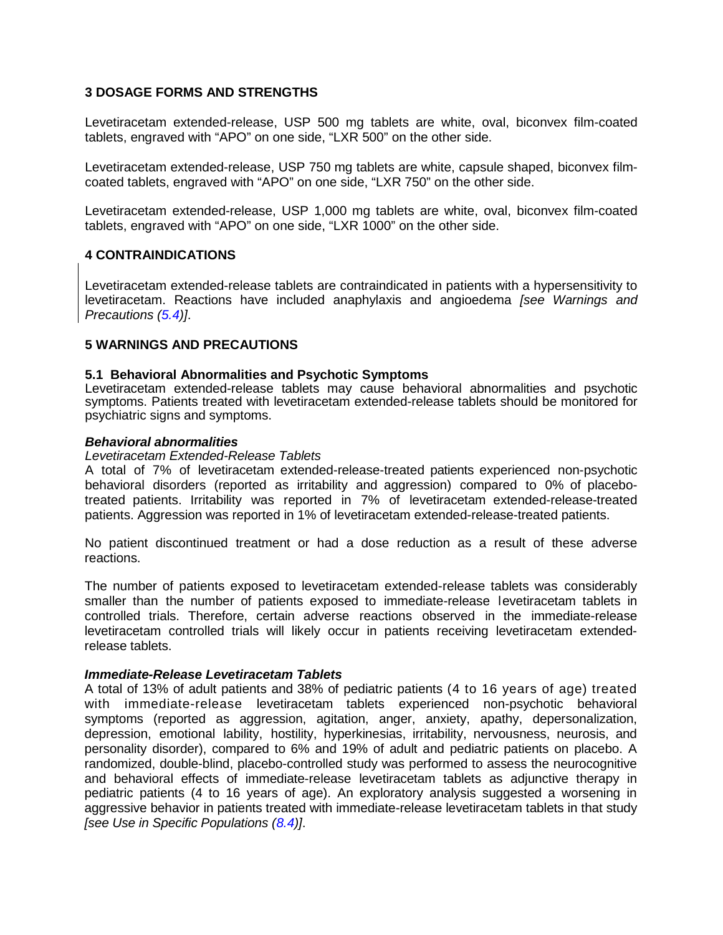### <span id="page-2-1"></span>**3 DOSAGE FORMS AND STRENGTHS**

Levetiracetam extended-release, USP 500 mg tablets are white, oval, biconvex film-coated tablets, engraved with "APO" on one side, "LXR 500" on the other side.

Levetiracetam extended-release, USP 750 mg tablets are white, capsule shaped, biconvex filmcoated tablets, engraved with "APO" on one side, "LXR 750" on the other side.

Levetiracetam extended-release, USP 1,000 mg tablets are white, oval, biconvex film-coated tablets, engraved with "APO" on one side, "LXR 1000" on the other side.

### <span id="page-2-0"></span>**4 CONTRAINDICATIONS**

Levetiracetam extended-release tablets are contraindicated in patients with a hypersensitivity to levetiracetam. Reactions have included anaphylaxis and angioedema *[see Warnings and Precautions [\(5.4\)](#page-5-0)]*.

### <span id="page-2-3"></span>**5 WARNINGS AND PRECAUTIONS**

#### <span id="page-2-2"></span>**5.1 Behavioral Abnormalities and Psychotic Symptoms**

Levetiracetam extended-release tablets may cause behavioral abnormalities and psychotic symptoms. Patients treated with levetiracetam extended-release tablets should be monitored for psychiatric signs and symptoms.

#### *Behavioral abnormalities*

#### *Levetiracetam Extended-Release Tablets*

A total of 7% of levetiracetam extended-release-treated patients experienced non-psychotic behavioral disorders (reported as irritability and aggression) compared to 0% of placebotreated patients. Irritability was reported in 7% of levetiracetam extended-release-treated patients. Aggression was reported in 1% of levetiracetam extended-release-treated patients.

No patient discontinued treatment or had a dose reduction as a result of these adverse reactions.

The number of patients exposed to levetiracetam extended-release tablets was considerably smaller than the number of patients exposed to immediate-release levetiracetam tablets in controlled trials. Therefore, certain adverse reactions observed in the immediate-release levetiracetam controlled trials will likely occur in patients receiving levetiracetam extendedrelease tablets.

#### *Immediate-Release Levetiracetam Tablets*

A total of 13% of adult patients and 38% of pediatric patients (4 to 16 years of age) treated with immediate-release levetiracetam tablets experienced non-psychotic behavioral symptoms (reported as aggression, agitation, anger, anxiety, apathy, depersonalization, depression, emotional lability, hostility, hyperkinesias, irritability, nervousness, neurosis, and personality disorder), compared to 6% and 19% of adult and pediatric patients on placebo. A randomized, double-blind, placebo-controlled study was performed to assess the neurocognitive and behavioral effects of immediate-release levetiracetam tablets as adjunctive therapy in pediatric patients (4 to 16 years of age). An exploratory analysis suggested a worsening in aggressive behavior in patients treated with immediate-release levetiracetam tablets in that study *[see Use in Specific Populations [\(8.4\)](#page-12-1)]*.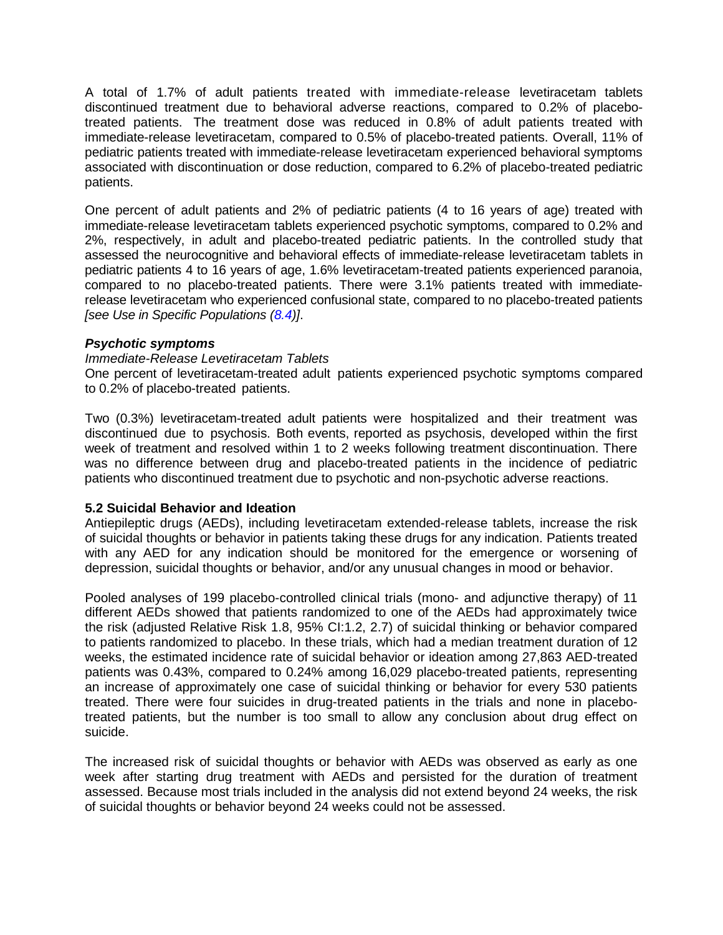A total of 1.7% of adult patients treated with immediate-release levetiracetam tablets discontinued treatment due to behavioral adverse reactions, compared to 0.2% of placebotreated patients. The treatment dose was reduced in 0.8% of adult patients treated with immediate-release levetiracetam, compared to 0.5% of placebo-treated patients. Overall, 11% of pediatric patients treated with immediate-release levetiracetam experienced behavioral symptoms associated with discontinuation or dose reduction, compared to 6.2% of placebo-treated pediatric patients.

One percent of adult patients and 2% of pediatric patients (4 to 16 years of age) treated with immediate-release levetiracetam tablets experienced psychotic symptoms, compared to 0.2% and 2%, respectively, in adult and placebo-treated pediatric patients. In the controlled study that assessed the neurocognitive and behavioral effects of immediate-release levetiracetam tablets in pediatric patients 4 to 16 years of age, 1.6% levetiracetam-treated patients experienced paranoia, compared to no placebo-treated patients. There were 3.1% patients treated with immediaterelease levetiracetam who experienced confusional state, compared to no placebo-treated patients *[see Use in Specific Populations [\(8.4\)](#page-12-1)]*.

#### *Psychotic symptoms*

#### *Immediate-Release Levetiracetam Tablets*

One percent of levetiracetam-treated adult patients experienced psychotic symptoms compared to 0.2% of placebo-treated patients.

Two (0.3%) levetiracetam-treated adult patients were hospitalized and their treatment was discontinued due to psychosis. Both events, reported as psychosis, developed within the first week of treatment and resolved within 1 to 2 weeks following treatment discontinuation. There was no difference between drug and placebo-treated patients in the incidence of pediatric patients who discontinued treatment due to psychotic and non-psychotic adverse reactions.

#### <span id="page-3-0"></span>**5.2 Suicidal Behavior and Ideation**

Antiepileptic drugs (AEDs), including levetiracetam extended-release tablets, increase the risk of suicidal thoughts or behavior in patients taking these drugs for any indication. Patients treated with any AED for any indication should be monitored for the emergence or worsening of depression, suicidal thoughts or behavior, and/or any unusual changes in mood or behavior.

Pooled analyses of 199 placebo-controlled clinical trials (mono- and adjunctive therapy) of 11 different AEDs showed that patients randomized to one of the AEDs had approximately twice the risk (adjusted Relative Risk 1.8, 95% CI:1.2, 2.7) of suicidal thinking or behavior compared to patients randomized to placebo. In these trials, which had a median treatment duration of 12 weeks, the estimated incidence rate of suicidal behavior or ideation among 27,863 AED-treated patients was 0.43%, compared to 0.24% among 16,029 placebo-treated patients, representing an increase of approximately one case of suicidal thinking or behavior for every 530 patients treated. There were four suicides in drug-treated patients in the trials and none in placebotreated patients, but the number is too small to allow any conclusion about drug effect on suicide.

The increased risk of suicidal thoughts or behavior with AEDs was observed as early as one week after starting drug treatment with AEDs and persisted for the duration of treatment assessed. Because most trials included in the analysis did not extend beyond 24 weeks, the risk of suicidal thoughts or behavior beyond 24 weeks could not be assessed.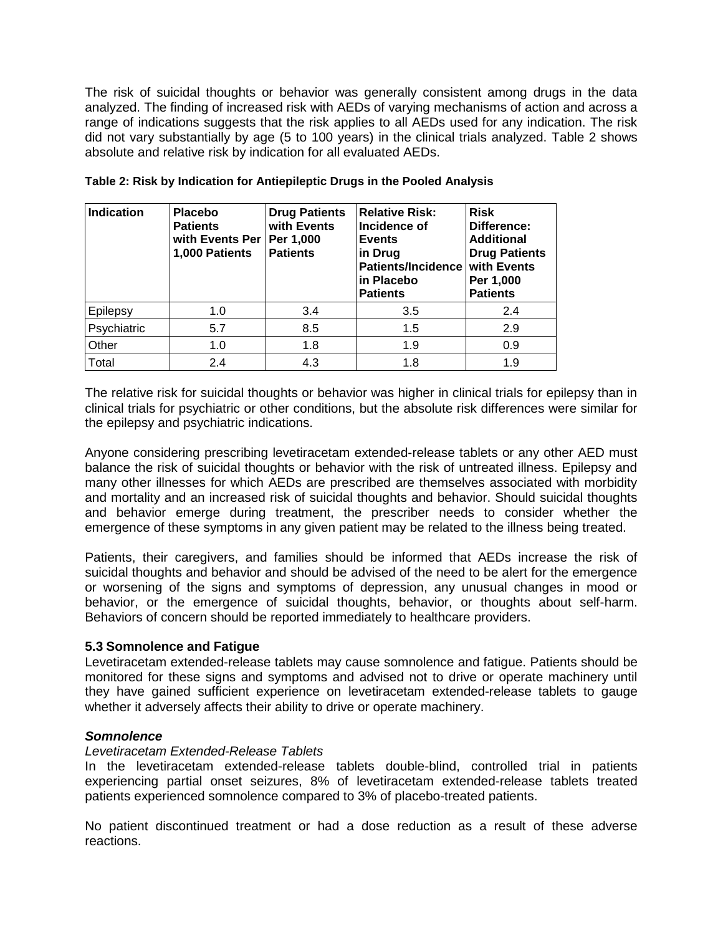The risk of suicidal thoughts or behavior was generally consistent among drugs in the data analyzed. The finding of increased risk with AEDs of varying mechanisms of action and across a range of indications suggests that the risk applies to all AEDs used for any indication. The risk did not vary substantially by age (5 to 100 years) in the clinical trials analyzed. Table 2 shows absolute and relative risk by indication for all evaluated AEDs.

| <b>Indication</b> | <b>Placebo</b><br><b>Patients</b><br>with Events Per<br>1,000 Patients | <b>Drug Patients</b><br>with Events<br>Per 1,000<br><b>Patients</b> | <b>Relative Risk:</b><br>Incidence of<br><b>Events</b><br>in Drug<br><b>Patients/Incidence</b><br>in Placebo<br><b>Patients</b> | <b>Risk</b><br>Difference:<br><b>Additional</b><br><b>Drug Patients</b><br><b>with Events</b><br>Per 1,000<br><b>Patients</b> |
|-------------------|------------------------------------------------------------------------|---------------------------------------------------------------------|---------------------------------------------------------------------------------------------------------------------------------|-------------------------------------------------------------------------------------------------------------------------------|
| Epilepsy          | 1.0                                                                    | 3.4                                                                 | 3.5                                                                                                                             | 2.4                                                                                                                           |
| Psychiatric       | 5.7                                                                    | 8.5                                                                 | 1.5                                                                                                                             | 2.9                                                                                                                           |
| Other             | 1.0                                                                    | 1.8                                                                 | 1.9                                                                                                                             | 0.9                                                                                                                           |
| Total             | 2.4                                                                    | 4.3                                                                 | 1.8                                                                                                                             | 1.9                                                                                                                           |

**Table 2: Risk by Indication for Antiepileptic Drugs in the Pooled Analysis**

The relative risk for suicidal thoughts or behavior was higher in clinical trials for epilepsy than in clinical trials for psychiatric or other conditions, but the absolute risk differences were similar for the epilepsy and psychiatric indications.

Anyone considering prescribing levetiracetam extended-release tablets or any other AED must balance the risk of suicidal thoughts or behavior with the risk of untreated illness. Epilepsy and many other illnesses for which AEDs are prescribed are themselves associated with morbidity and mortality and an increased risk of suicidal thoughts and behavior. Should suicidal thoughts and behavior emerge during treatment, the prescriber needs to consider whether the emergence of these symptoms in any given patient may be related to the illness being treated.

Patients, their caregivers, and families should be informed that AEDs increase the risk of suicidal thoughts and behavior and should be advised of the need to be alert for the emergence or worsening of the signs and symptoms of depression, any unusual changes in mood or behavior, or the emergence of suicidal thoughts, behavior, or thoughts about self-harm. Behaviors of concern should be reported immediately to healthcare providers.

#### <span id="page-4-0"></span>**5.3 Somnolence and Fatigue**

Levetiracetam extended-release tablets may cause somnolence and fatigue. Patients should be monitored for these signs and symptoms and advised not to drive or operate machinery until they have gained sufficient experience on levetiracetam extended-release tablets to gauge whether it adversely affects their ability to drive or operate machinery.

#### *Somnolence*

#### *Levetiracetam Extended-Release Tablets*

In the levetiracetam extended-release tablets double-blind, controlled trial in patients experiencing partial onset seizures, 8% of levetiracetam extended-release tablets treated patients experienced somnolence compared to 3% of placebo-treated patients.

No patient discontinued treatment or had a dose reduction as a result of these adverse reactions.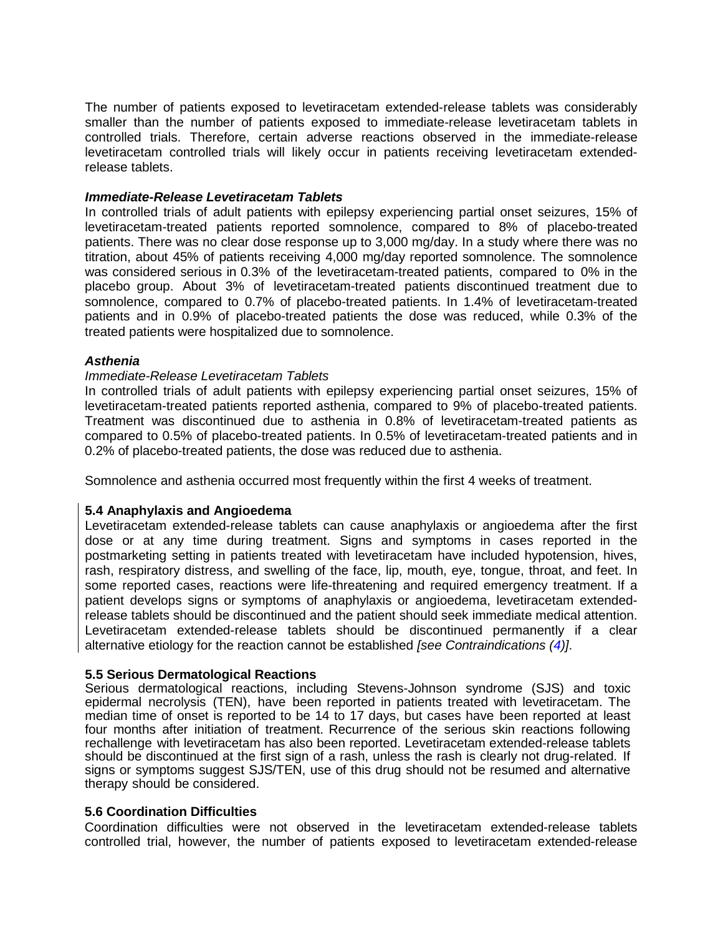The number of patients exposed to levetiracetam extended-release tablets was considerably smaller than the number of patients exposed to immediate-release levetiracetam tablets in controlled trials. Therefore, certain adverse reactions observed in the immediate-release levetiracetam controlled trials will likely occur in patients receiving levetiracetam extendedrelease tablets.

#### *Immediate-Release Levetiracetam Tablets*

In controlled trials of adult patients with epilepsy experiencing partial onset seizures, 15% of levetiracetam-treated patients reported somnolence, compared to 8% of placebo-treated patients. There was no clear dose response up to 3,000 mg/day. In a study where there was no titration, about 45% of patients receiving 4,000 mg/day reported somnolence. The somnolence was considered serious in 0.3% of the levetiracetam-treated patients, compared to 0% in the placebo group. About 3% of levetiracetam-treated patients discontinued treatment due to somnolence, compared to 0.7% of placebo-treated patients. In 1.4% of levetiracetam-treated patients and in 0.9% of placebo-treated patients the dose was reduced, while 0.3% of the treated patients were hospitalized due to somnolence.

#### *Asthenia*

#### *Immediate-Release Levetiracetam Tablets*

In controlled trials of adult patients with epilepsy experiencing partial onset seizures, 15% of levetiracetam-treated patients reported asthenia, compared to 9% of placebo-treated patients. Treatment was discontinued due to asthenia in 0.8% of levetiracetam-treated patients as compared to 0.5% of placebo-treated patients. In 0.5% of levetiracetam-treated patients and in 0.2% of placebo-treated patients, the dose was reduced due to asthenia.

Somnolence and asthenia occurred most frequently within the first 4 weeks of treatment.

#### <span id="page-5-0"></span>**5.4 Anaphylaxis and Angioedema**

Levetiracetam extended-release tablets can cause anaphylaxis or angioedema after the first dose or at any time during treatment. Signs and symptoms in cases reported in the postmarketing setting in patients treated with levetiracetam have included hypotension, hives, rash, respiratory distress, and swelling of the face, lip, mouth, eye, tongue, throat, and feet. In some reported cases, reactions were life-threatening and required emergency treatment. If a patient develops signs or symptoms of anaphylaxis or angioedema, levetiracetam extendedrelease tablets should be discontinued and the patient should seek immediate medical attention. Levetiracetam extended-release tablets should be discontinued permanently if a clear alternative etiology for the reaction cannot be established *[see Contraindications [\(4\)](#page-2-0)]*.

#### <span id="page-5-1"></span>**5.5 Serious Dermatological Reactions**

Serious dermatological reactions, including Stevens-Johnson syndrome (SJS) and toxic epidermal necrolysis (TEN), have been reported in patients treated with levetiracetam. The median time of onset is reported to be 14 to 17 days, but cases have been reported at least four months after initiation of treatment. Recurrence of the serious skin reactions following rechallenge with levetiracetam has also been reported. Levetiracetam extended-release tablets should be discontinued at the first sign of a rash, unless the rash is clearly not drug-related. If signs or symptoms suggest SJS/TEN, use of this drug should not be resumed and alternative therapy should be considered.

#### <span id="page-5-2"></span>**5.6 Coordination Difficulties**

Coordination difficulties were not observed in the levetiracetam extended-release tablets controlled trial, however, the number of patients exposed to levetiracetam extended-release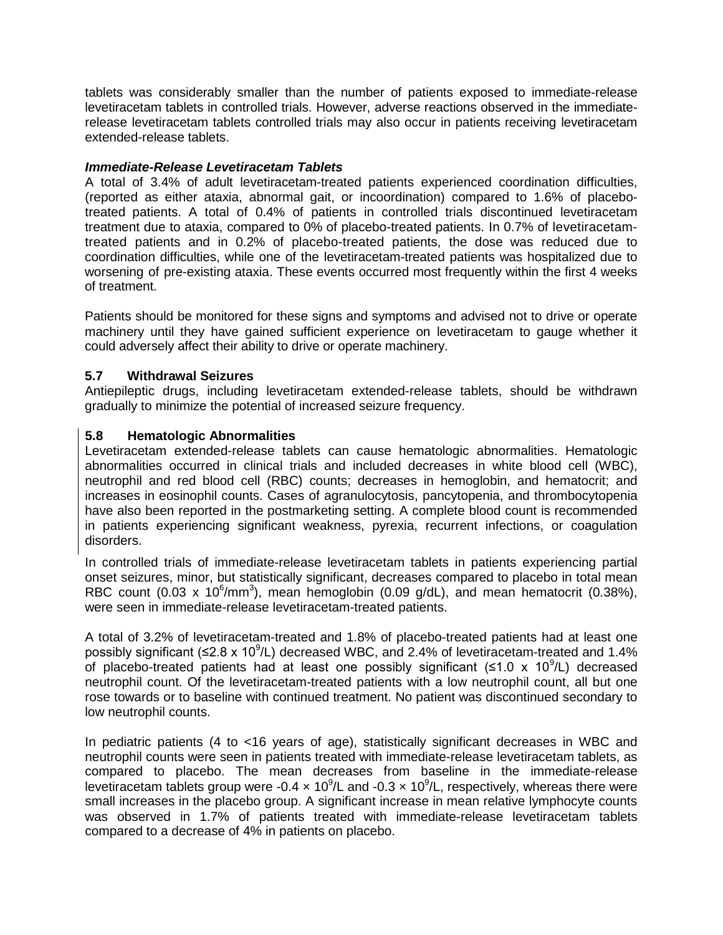tablets was considerably smaller than the number of patients exposed to immediate-release levetiracetam tablets in controlled trials. However, adverse reactions observed in the immediaterelease levetiracetam tablets controlled trials may also occur in patients receiving levetiracetam extended-release tablets.

### *Immediate-Release Levetiracetam Tablets*

A total of 3.4% of adult levetiracetam-treated patients experienced coordination difficulties, (reported as either ataxia, abnormal gait, or incoordination) compared to 1.6% of placebotreated patients. A total of 0.4% of patients in controlled trials discontinued levetiracetam treatment due to ataxia, compared to 0% of placebo-treated patients. In 0.7% of levetiracetamtreated patients and in 0.2% of placebo-treated patients, the dose was reduced due to coordination difficulties, while one of the levetiracetam-treated patients was hospitalized due to worsening of pre-existing ataxia. These events occurred most frequently within the first 4 weeks of treatment.

Patients should be monitored for these signs and symptoms and advised not to drive or operate machinery until they have gained sufficient experience on levetiracetam to gauge whether it could adversely affect their ability to drive or operate machinery.

### <span id="page-6-1"></span>**5.7 Withdrawal Seizures**

Antiepileptic drugs, including levetiracetam extended-release tablets, should be withdrawn gradually to minimize the potential of increased seizure frequency.

### <span id="page-6-0"></span>**5.8 Hematologic Abnormalities**

Levetiracetam extended-release tablets can cause hematologic abnormalities. Hematologic abnormalities occurred in clinical trials and included decreases in white blood cell (WBC), neutrophil and red blood cell (RBC) counts; decreases in hemoglobin, and hematocrit; and increases in eosinophil counts. Cases of agranulocytosis, pancytopenia, and thrombocytopenia have also been reported in the postmarketing setting. A complete blood count is recommended in patients experiencing significant weakness, pyrexia, recurrent infections, or coagulation disorders.

In controlled trials of immediate-release levetiracetam tablets in patients experiencing partial onset seizures, minor, but statistically significant, decreases compared to placebo in total mean RBC count  $(0.03 \times 10^6/\text{mm}^3)$ , mean hemoglobin  $(0.09 \text{ g/dL})$ , and mean hematocrit  $(0.38\%)$ , were seen in immediate-release levetiracetam-treated patients.

A total of 3.2% of levetiracetam-treated and 1.8% of placebo-treated patients had at least one possibly significant (≤2.8 x 10<sup>9</sup>/L) decreased WBC, and 2.4% of levetiracetam-treated and 1.4% of placebo-treated patients had at least one possibly significant ( $\leq 1.0 \times 10^9$ /L) decreased neutrophil count. Of the levetiracetam-treated patients with a low neutrophil count, all but one rose towards or to baseline with continued treatment. No patient was discontinued secondary to low neutrophil counts.

In pediatric patients (4 to <16 years of age), statistically significant decreases in WBC and neutrophil counts were seen in patients treated with immediate-release levetiracetam tablets, as compared to placebo. The mean decreases from baseline in the immediate-release levetiracetam tablets group were -0.4  $\times$  10<sup>9</sup>/L and -0.3  $\times$  10<sup>9</sup>/L, respectively, whereas there were small increases in the placebo group. A significant increase in mean relative lymphocyte counts was observed in 1.7% of patients treated with immediate-release levetiracetam tablets compared to a decrease of 4% in patients on placebo.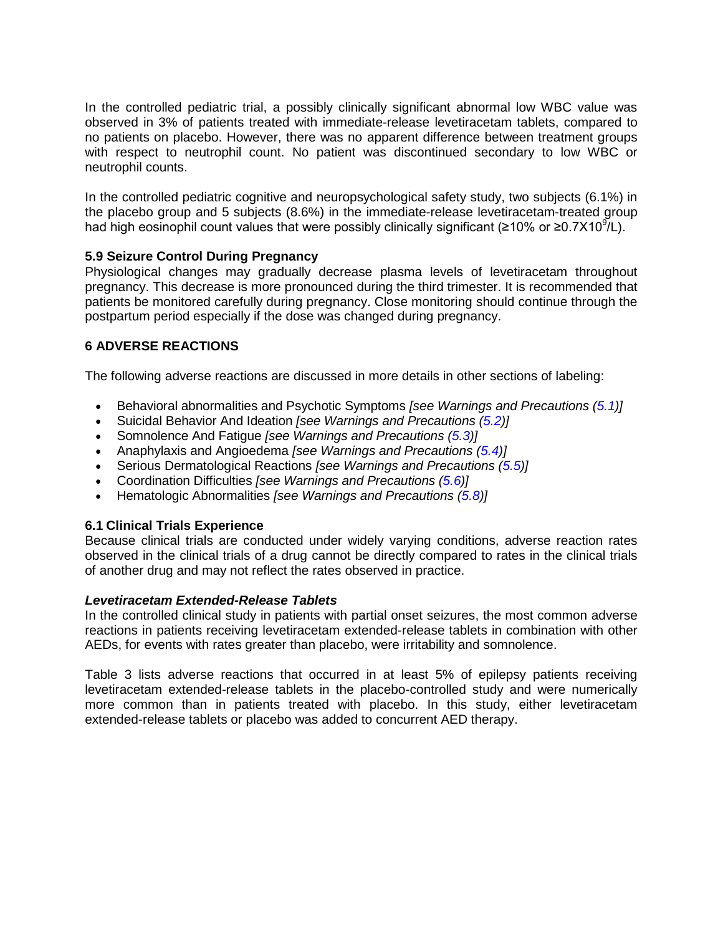In the controlled pediatric trial, a possibly clinically significant abnormal low WBC value was observed in 3% of patients treated with immediate-release levetiracetam tablets, compared to no patients on placebo. However, there was no apparent difference between treatment groups with respect to neutrophil count. No patient was discontinued secondary to low WBC or neutrophil counts.

In the controlled pediatric cognitive and neuropsychological safety study, two subjects (6.1%) in the placebo group and 5 subjects (8.6%) in the immediate-release levetiracetam-treated group had high eosinophil count values that were possibly clinically significant (≥10% or ≥0.7X10<sup>9</sup>/L).

### <span id="page-7-1"></span>**5.9 Seizure Control During Pregnancy**

Physiological changes may gradually decrease plasma levels of levetiracetam throughout pregnancy. This decrease is more pronounced during the third trimester. It is recommended that patients be monitored carefully during pregnancy. Close monitoring should continue through the postpartum period especially if the dose was changed during pregnancy.

## <span id="page-7-2"></span>**6 ADVERSE REACTIONS**

The following adverse reactions are discussed in more details in other sections of labeling:

- Behavioral abnormalities and Psychotic Symptoms *[see Warnings and Precautions [\(5.1\)](#page-2-2)]*
- Suicidal Behavior And Ideation *[see Warnings and Precautions [\(5.2\)](#page-3-0)]*
- Somnolence And Fatigue *[see Warnings and Precautions [\(5.3\)](#page-4-0)]*
- Anaphylaxis and Angioedema *[see Warnings and Precautions [\(5.4\)](#page-5-0)]*
- Serious Dermatological Reactions *[see Warnings and Precautions [\(5.5\)](#page-5-1)]*
- Coordination Difficulties *[see Warnings and Precautions [\(5.6\)](#page-5-2)]*
- Hematologic Abnormalities *[see Warnings and Precautions [\(5.8\)](#page-6-0)]*

### <span id="page-7-0"></span>**6.1 Clinical Trials Experience**

Because clinical trials are conducted under widely varying conditions, adverse reaction rates observed in the clinical trials of a drug cannot be directly compared to rates in the clinical trials of another drug and may not reflect the rates observed in practice.

### *Levetiracetam Extended-Release Tablets*

In the controlled clinical study in patients with partial onset seizures, the most common adverse reactions in patients receiving levetiracetam extended-release tablets in combination with other AEDs, for events with rates greater than placebo, were irritability and somnolence.

Table 3 lists adverse reactions that occurred in at least 5% of epilepsy patients receiving levetiracetam extended-release tablets in the placebo-controlled study and were numerically more common than in patients treated with placebo. In this study, either levetiracetam extended-release tablets or placebo was added to concurrent AED therapy.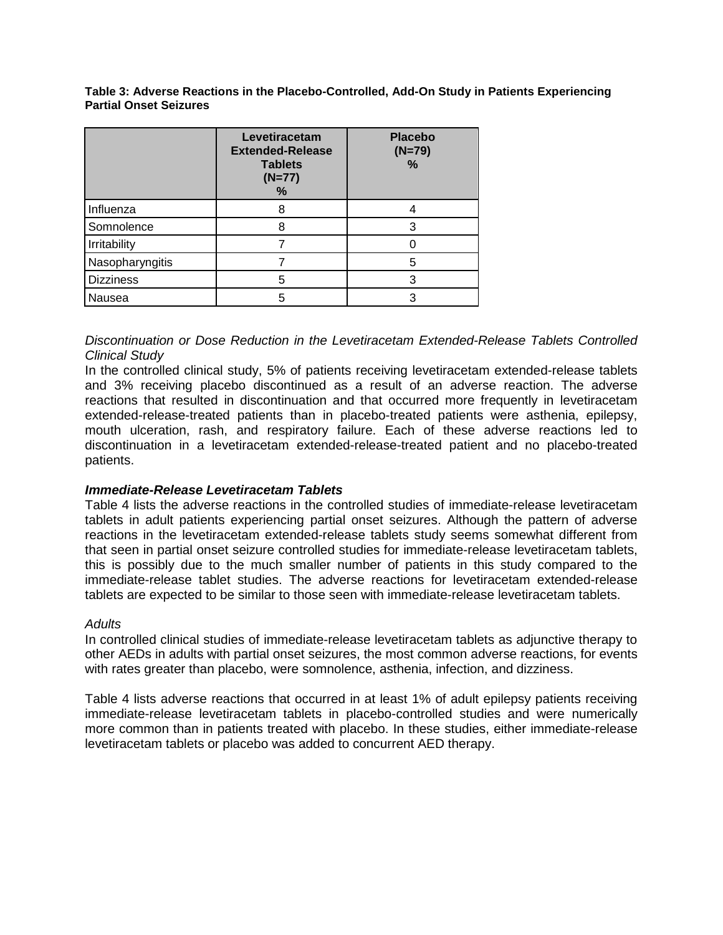**Table 3: Adverse Reactions in the Placebo-Controlled, Add-On Study in Patients Experiencing Partial Onset Seizures**

|                  | Levetiracetam<br><b>Extended-Release</b><br><b>Tablets</b><br>$(N=77)$<br>℅ | <b>Placebo</b><br>$(N=79)$<br>% |
|------------------|-----------------------------------------------------------------------------|---------------------------------|
| Influenza        |                                                                             |                                 |
| Somnolence       |                                                                             |                                 |
| Irritability     |                                                                             |                                 |
| Nasopharyngitis  |                                                                             | 5                               |
| <b>Dizziness</b> | 5                                                                           |                                 |
| Nausea           |                                                                             |                                 |

### *Discontinuation or Dose Reduction in the Levetiracetam Extended-Release Tablets Controlled Clinical Study*

In the controlled clinical study, 5% of patients receiving levetiracetam extended-release tablets and 3% receiving placebo discontinued as a result of an adverse reaction. The adverse reactions that resulted in discontinuation and that occurred more frequently in levetiracetam extended-release-treated patients than in placebo-treated patients were asthenia, epilepsy, mouth ulceration, rash, and respiratory failure. Each of these adverse reactions led to discontinuation in a levetiracetam extended-release-treated patient and no placebo-treated patients.

### *Immediate-Release Levetiracetam Tablets*

Table 4 lists the adverse reactions in the controlled studies of immediate-release levetiracetam tablets in adult patients experiencing partial onset seizures. Although the pattern of adverse reactions in the levetiracetam extended-release tablets study seems somewhat different from that seen in partial onset seizure controlled studies for immediate-release levetiracetam tablets, this is possibly due to the much smaller number of patients in this study compared to the immediate-release tablet studies. The adverse reactions for levetiracetam extended-release tablets are expected to be similar to those seen with immediate-release levetiracetam tablets.

#### *Adults*

In controlled clinical studies of immediate-release levetiracetam tablets as adjunctive therapy to other AEDs in adults with partial onset seizures, the most common adverse reactions, for events with rates greater than placebo, were somnolence, asthenia, infection, and dizziness.

Table 4 lists adverse reactions that occurred in at least 1% of adult epilepsy patients receiving immediate-release levetiracetam tablets in placebo-controlled studies and were numerically more common than in patients treated with placebo. In these studies, either immediate-release levetiracetam tablets or placebo was added to concurrent AED therapy.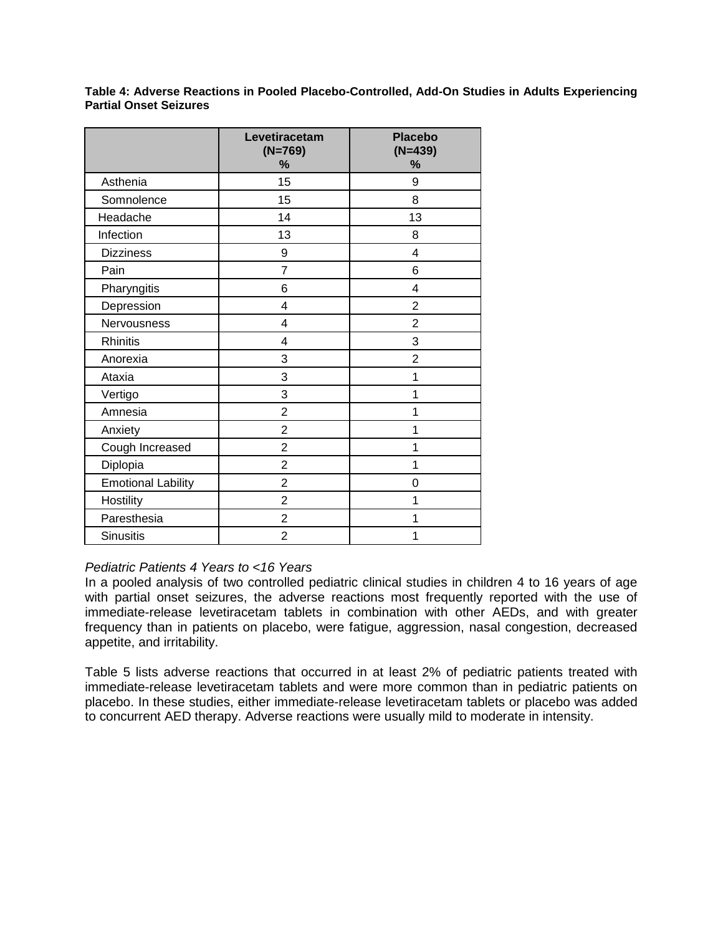**Table 4: Adverse Reactions in Pooled Placebo-Controlled, Add-On Studies in Adults Experiencing Partial Onset Seizures** 

|                           | Levetiracetam<br>$(N=769)$<br>% | <b>Placebo</b><br>$(N=439)$<br>% |
|---------------------------|---------------------------------|----------------------------------|
| Asthenia                  | 15                              | 9                                |
| Somnolence                | 15                              | 8                                |
| Headache                  | 14                              | 13                               |
| Infection                 | 13                              | 8                                |
| <b>Dizziness</b>          | 9                               | 4                                |
| Pain                      | $\overline{7}$                  | 6                                |
| Pharyngitis               | 6                               | 4                                |
| Depression                | $\overline{4}$                  | $\overline{2}$                   |
| Nervousness               | 4                               | $\overline{2}$                   |
| <b>Rhinitis</b>           | $\overline{4}$                  | 3                                |
| Anorexia                  | 3                               | $\overline{2}$                   |
| Ataxia                    | 3                               | 1                                |
| Vertigo                   | 3                               | 1                                |
| Amnesia                   | $\overline{2}$                  | 1                                |
| Anxiety                   | $\overline{2}$                  | 1                                |
| Cough Increased           | $\overline{2}$                  | 1                                |
| Diplopia                  | $\overline{2}$                  | 1                                |
| <b>Emotional Lability</b> | $\overline{2}$                  | 0                                |
| Hostility                 | $\overline{2}$                  | 1                                |
| Paresthesia               | $\overline{2}$                  | 1                                |
| <b>Sinusitis</b>          | $\overline{2}$                  | 1                                |

### *Pediatric Patients 4 Years to <16 Years*

In a pooled analysis of two controlled pediatric clinical studies in children 4 to 16 years of age with partial onset seizures, the adverse reactions most frequently reported with the use of immediate-release levetiracetam tablets in combination with other AEDs, and with greater frequency than in patients on placebo, were fatigue, aggression, nasal congestion, decreased appetite, and irritability.

Table 5 lists adverse reactions that occurred in at least 2% of pediatric patients treated with immediate-release levetiracetam tablets and were more common than in pediatric patients on placebo. In these studies, either immediate-release levetiracetam tablets or placebo was added to concurrent AED therapy. Adverse reactions were usually mild to moderate in intensity.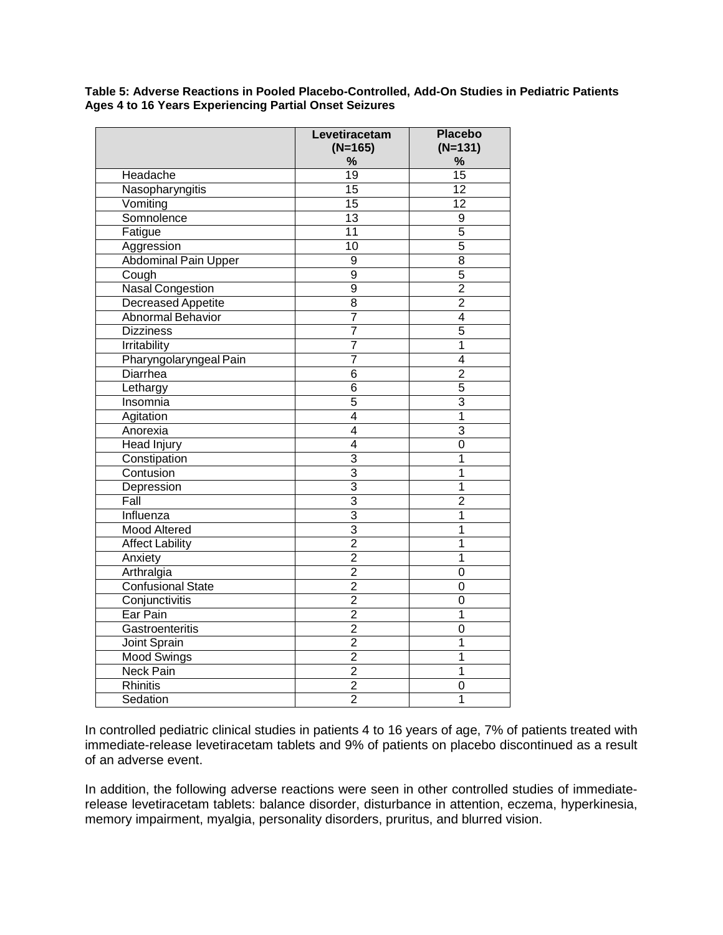**Table 5: Adverse Reactions in Pooled Placebo-Controlled, Add-On Studies in Pediatric Patients Ages 4 to 16 Years Experiencing Partial Onset Seizures** 

|                                                       | Levetiracetam<br>$(N=165)$ | <b>Placebo</b><br>$(N=131)$ |
|-------------------------------------------------------|----------------------------|-----------------------------|
|                                                       | $\%$                       | $\%$                        |
| Headache                                              | $\overline{19}$            | $\overline{15}$             |
| Nasopharyngitis                                       | 15                         | $\overline{12}$             |
| Vomiting                                              | $\overline{15}$            | $\overline{12}$             |
| Somnolence                                            | $\overline{13}$            | $\overline{9}$              |
| Fatigue                                               | 11                         | $\overline{5}$              |
| Aggression                                            | 10                         | $\overline{5}$              |
| Abdominal Pain Upper                                  | 9                          | $\overline{8}$              |
| Cough                                                 | $\overline{9}$             | $\overline{5}$              |
| <b>Nasal Congestion</b>                               | $\overline{9}$             | $\overline{2}$              |
|                                                       | $\overline{8}$             | $\overline{2}$              |
| <b>Decreased Appetite</b><br><b>Abnormal Behavior</b> | 7                          |                             |
|                                                       |                            | 4                           |
| <b>Dizziness</b>                                      | 7                          | $\overline{5}$              |
| Irritability                                          | 7                          | 1                           |
| Pharyngolaryngeal Pain                                | $\overline{7}$             | $\overline{4}$              |
| <b>Diarrhea</b>                                       | $\overline{6}$             | $\overline{2}$              |
| Lethargy                                              | $\overline{6}$             | $\overline{5}$              |
| Insomnia                                              | $\overline{5}$             | 3                           |
| Agitation                                             | $\overline{4}$             | 1                           |
| Anorexia                                              | $\overline{4}$             | 3                           |
| <b>Head Injury</b>                                    | $\overline{4}$             | $\overline{0}$              |
| Constipation                                          | 3                          | $\overline{1}$              |
| Contusion                                             | $\overline{3}$             | 1                           |
| Depression                                            | $\overline{3}$             | 1                           |
| Fall                                                  | 3                          | $\overline{2}$              |
| Influenza                                             | $\overline{3}$             | 1                           |
| <b>Mood Altered</b>                                   | 3                          | $\overline{1}$              |
| <b>Affect Lability</b>                                | $\overline{2}$             | $\overline{1}$              |
| Anxiety                                               | $\overline{2}$             | 1                           |
| Arthralgia                                            | $\overline{2}$             | 0                           |
| <b>Confusional State</b>                              | $\overline{2}$             | $\overline{0}$              |
| Conjunctivitis                                        | $\overline{2}$             | 0                           |
| Ear Pain                                              | $\overline{2}$             | $\overline{1}$              |
| Gastroenteritis                                       | $\overline{2}$             | 0                           |
| Joint Sprain                                          | $\overline{2}$             | 1                           |
| <b>Mood Swings</b>                                    | $\overline{2}$             | 1                           |
| <b>Neck Pain</b>                                      | $\overline{2}$             | 1                           |
| Rhinitis                                              | $\overline{2}$             | $\overline{0}$              |
| Sedation                                              | $\overline{2}$             | $\overline{1}$              |

In controlled pediatric clinical studies in patients 4 to 16 years of age, 7% of patients treated with immediate-release levetiracetam tablets and 9% of patients on placebo discontinued as a result of an adverse event.

In addition, the following adverse reactions were seen in other controlled studies of immediaterelease levetiracetam tablets: balance disorder, disturbance in attention, eczema, hyperkinesia, memory impairment, myalgia, personality disorders, pruritus, and blurred vision.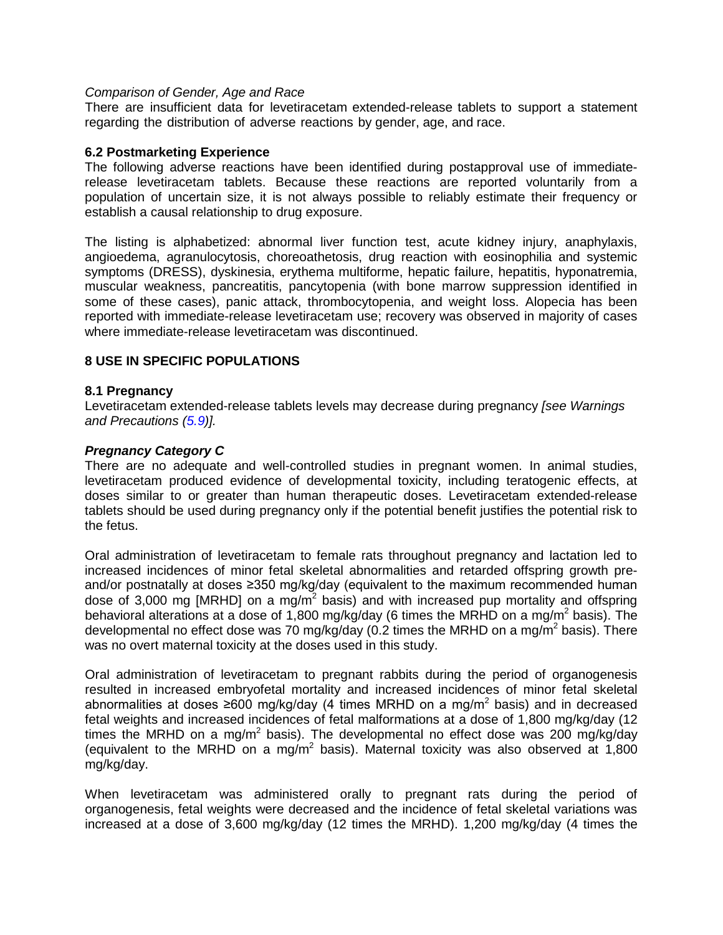#### *Comparison of Gender, Age and Race*

There are insufficient data for levetiracetam extended-release tablets to support a statement regarding the distribution of adverse reactions by gender, age, and race.

#### <span id="page-11-1"></span>**6.2 Postmarketing Experience**

The following adverse reactions have been identified during postapproval use of immediaterelease levetiracetam tablets. Because these reactions are reported voluntarily from a population of uncertain size, it is not always possible to reliably estimate their frequency or establish a causal relationship to drug exposure.

The listing is alphabetized: abnormal liver function test, acute kidney injury, anaphylaxis, angioedema, agranulocytosis, choreoathetosis, drug reaction with eosinophilia and systemic symptoms (DRESS), dyskinesia, erythema multiforme, hepatic failure, hepatitis, hyponatremia, muscular weakness, pancreatitis, pancytopenia (with bone marrow suppression identified in some of these cases), panic attack, thrombocytopenia, and weight loss. Alopecia has been reported with immediate-release levetiracetam use; recovery was observed in majority of cases where immediate-release levetiracetam was discontinued.

#### <span id="page-11-2"></span>**8 USE IN SPECIFIC POPULATIONS**

#### <span id="page-11-0"></span>**8.1 Pregnancy**

Levetiracetam extended-release tablets levels may decrease during pregnancy *[see Warnings and Precautions [\(5.9\)](#page-7-1)].*

#### *Pregnancy Category C*

There are no adequate and well-controlled studies in pregnant women. In animal studies, levetiracetam produced evidence of developmental toxicity, including teratogenic effects, at doses similar to or greater than human therapeutic doses. Levetiracetam extended-release tablets should be used during pregnancy only if the potential benefit justifies the potential risk to the fetus.

Oral administration of levetiracetam to female rats throughout pregnancy and lactation led to increased incidences of minor fetal skeletal abnormalities and retarded offspring growth preand/or postnatally at doses ≥350 mg/kg/day (equivalent to the maximum recommended human dose of 3,000 mg [MRHD] on a mg/m<sup>2</sup> basis) and with increased pup mortality and offspring behavioral alterations at a dose of 1,800 mg/kg/day (6 times the MRHD on a mg/m<sup>2</sup> basis). The developmental no effect dose was 70 mg/kg/day (0.2 times the MRHD on a mg/m<sup>2</sup> basis). There was no overt maternal toxicity at the doses used in this study.

Oral administration of levetiracetam to pregnant rabbits during the period of organogenesis resulted in increased embryofetal mortality and increased incidences of minor fetal skeletal abnormalities at doses ≥600 mg/kg/day (4 times MRHD on a mg/m<sup>2</sup> basis) and in decreased fetal weights and increased incidences of fetal malformations at a dose of 1,800 mg/kg/day (12 times the MRHD on a mg/m<sup>2</sup> basis). The developmental no effect dose was 200 mg/kg/day (equivalent to the MRHD on a mg/m<sup>2</sup> basis). Maternal toxicity was also observed at 1,800 mg/kg/day.

When levetiracetam was administered orally to pregnant rats during the period of organogenesis, fetal weights were decreased and the incidence of fetal skeletal variations was increased at a dose of 3,600 mg/kg/day (12 times the MRHD). 1,200 mg/kg/day (4 times the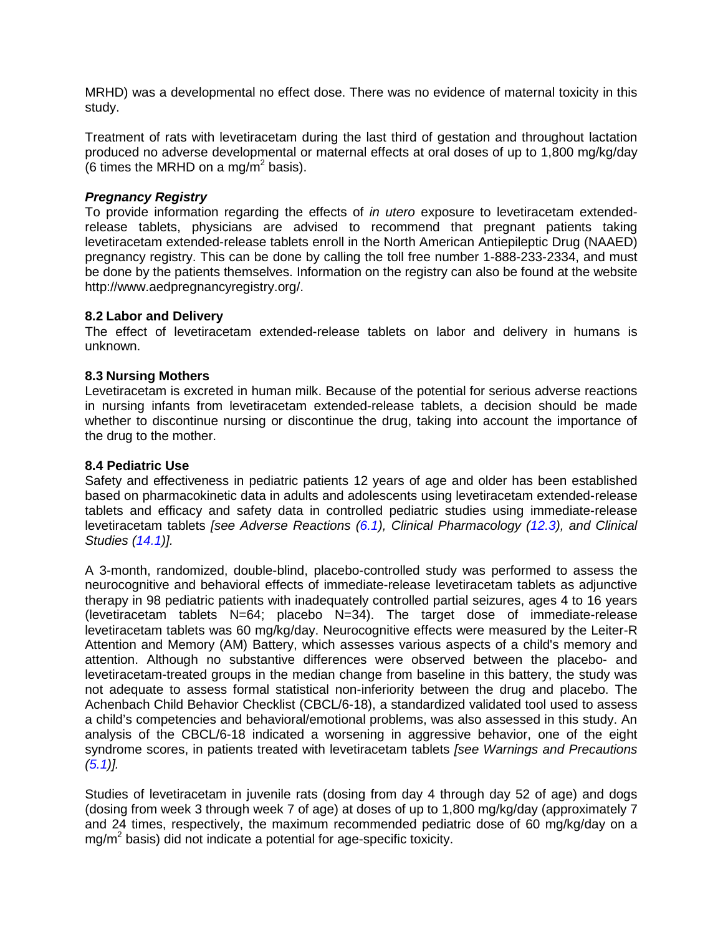MRHD) was a developmental no effect dose. There was no evidence of maternal toxicity in this study.

Treatment of rats with levetiracetam during the last third of gestation and throughout lactation produced no adverse developmental or maternal effects at oral doses of up to 1,800 mg/kg/day (6 times the MRHD on a mg/m<sup>2</sup> basis).

#### *Pregnancy Registry*

To provide information regarding the effects of *in utero* exposure to levetiracetam extendedrelease tablets, physicians are advised to recommend that pregnant patients taking levetiracetam extended-release tablets enroll in the North American Antiepileptic Drug (NAAED) pregnancy registry. This can be done by calling the toll free number 1-888-233-2334, and must be done by the patients themselves. Information on the registry can also be found at the website http://www.aedpregnancyregistry.org/.

### **8.2 Labor and Delivery**

The effect of levetiracetam extended-release tablets on labor and delivery in humans is unknown.

### <span id="page-12-0"></span>**8.3 Nursing Mothers**

Levetiracetam is excreted in human milk. Because of the potential for serious adverse reactions in nursing infants from levetiracetam extended-release tablets, a decision should be made whether to discontinue nursing or discontinue the drug, taking into account the importance of the drug to the mother.

#### <span id="page-12-1"></span>**8.4 Pediatric Use**

Safety and effectiveness in pediatric patients 12 years of age and older has been established based on pharmacokinetic data in adults and adolescents using levetiracetam extended-release tablets and efficacy and safety data in controlled pediatric studies using immediate-release levetiracetam tablets *[see Adverse Reactions [\(6.1\)](#page-7-0), Clinical Pharmacology [\(12.3\)](#page-15-1), and Clinical Studies [\(14.1\)](#page-19-3)].*

A 3-month, randomized, double-blind, placebo-controlled study was performed to assess the neurocognitive and behavioral effects of immediate-release levetiracetam tablets as adjunctive therapy in 98 pediatric patients with inadequately controlled partial seizures, ages 4 to 16 years (levetiracetam tablets N=64; placebo N=34). The target dose of immediate-release levetiracetam tablets was 60 mg/kg/day. Neurocognitive effects were measured by the Leiter-R Attention and Memory (AM) Battery, which assesses various aspects of a child's memory and attention. Although no substantive differences were observed between the placebo- and levetiracetam-treated groups in the median change from baseline in this battery, the study was not adequate to assess formal statistical non-inferiority between the drug and placebo. The Achenbach Child Behavior Checklist (CBCL/6-18), a standardized validated tool used to assess a child's competencies and behavioral/emotional problems, was also assessed in this study. An analysis of the CBCL/6-18 indicated a worsening in aggressive behavior, one of the eight syndrome scores, in patients treated with levetiracetam tablets *[see Warnings and Precautions [\(5.1\)](#page-2-2)].*

Studies of levetiracetam in juvenile rats (dosing from day 4 through day 52 of age) and dogs (dosing from week 3 through week 7 of age) at doses of up to 1,800 mg/kg/day (approximately 7 and 24 times, respectively, the maximum recommended pediatric dose of 60 mg/kg/day on a  $mg/m<sup>2</sup>$  basis) did not indicate a potential for age-specific toxicity.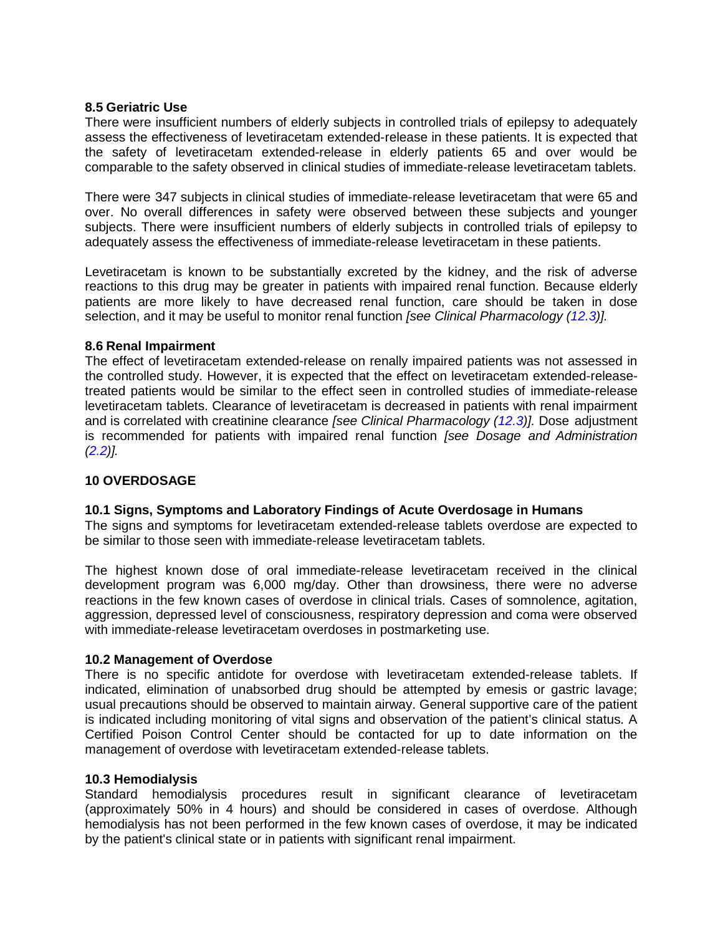#### <span id="page-13-0"></span>**8.5 Geriatric Use**

There were insufficient numbers of elderly subjects in controlled trials of epilepsy to adequately assess the effectiveness of levetiracetam extended-release in these patients. It is expected that the safety of levetiracetam extended-release in elderly patients 65 and over would be comparable to the safety observed in clinical studies of immediate-release levetiracetam tablets.

There were 347 subjects in clinical studies of immediate-release levetiracetam that were 65 and over. No overall differences in safety were observed between these subjects and younger subjects. There were insufficient numbers of elderly subjects in controlled trials of epilepsy to adequately assess the effectiveness of immediate-release levetiracetam in these patients.

Levetiracetam is known to be substantially excreted by the kidney, and the risk of adverse reactions to this drug may be greater in patients with impaired renal function. Because elderly patients are more likely to have decreased renal function, care should be taken in dose selection, and it may be useful to monitor renal function *[see Clinical Pharmacology [\(12.3\)](#page-15-1)].*

### <span id="page-13-1"></span>**8.6 Renal Impairment**

The effect of levetiracetam extended-release on renally impaired patients was not assessed in the controlled study. However, it is expected that the effect on levetiracetam extended-releasetreated patients would be similar to the effect seen in controlled studies of immediate-release levetiracetam tablets. Clearance of levetiracetam is decreased in patients with renal impairment and is correlated with creatinine clearance *[see Clinical Pharmacology [\(12.3\)](#page-15-1)].* Dose adjustment is recommended for patients with impaired renal function *[see Dosage and Administration [\(2.2\)](#page-1-4)].*

### <span id="page-13-2"></span>**10 OVERDOSAGE**

### <span id="page-13-3"></span>**10.1 Signs, Symptoms and Laboratory Findings of Acute Overdosage in Humans**

The signs and symptoms for levetiracetam extended-release tablets overdose are expected to be similar to those seen with immediate-release levetiracetam tablets.

The highest known dose of oral immediate-release levetiracetam received in the clinical development program was 6,000 mg/day. Other than drowsiness, there were no adverse reactions in the few known cases of overdose in clinical trials. Cases of somnolence, agitation, aggression, depressed level of consciousness, respiratory depression and coma were observed with immediate-release levetiracetam overdoses in postmarketing use.

#### <span id="page-13-4"></span>**10.2 Management of Overdose**

There is no specific antidote for overdose with levetiracetam extended-release tablets. If indicated, elimination of unabsorbed drug should be attempted by emesis or gastric lavage; usual precautions should be observed to maintain airway. General supportive care of the patient is indicated including monitoring of vital signs and observation of the patient's clinical status. A Certified Poison Control Center should be contacted for up to date information on the management of overdose with levetiracetam extended-release tablets.

#### <span id="page-13-5"></span>**10.3 Hemodialysis**

Standard hemodialysis procedures result in significant clearance of levetiracetam (approximately 50% in 4 hours) and should be considered in cases of overdose. Although hemodialysis has not been performed in the few known cases of overdose, it may be indicated by the patient's clinical state or in patients with significant renal impairment.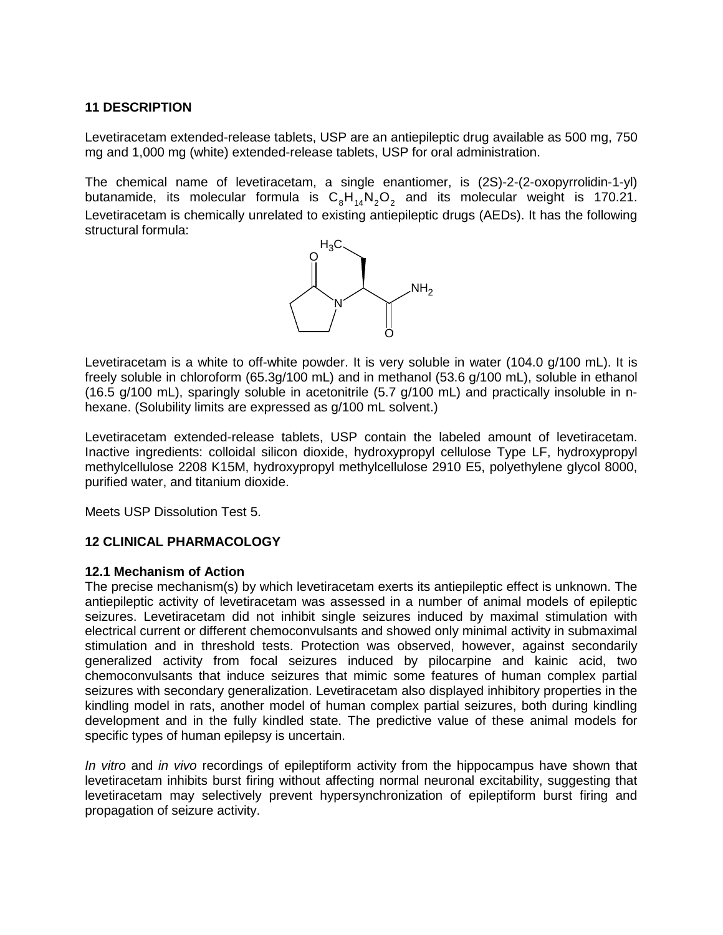### <span id="page-14-0"></span>**11 DESCRIPTION**

Levetiracetam extended-release tablets, USP are an antiepileptic drug available as 500 mg, 750 mg and 1,000 mg (white) extended-release tablets, USP for oral administration.

The chemical name of levetiracetam, a single enantiomer, is (2S)-2-(2-oxopyrrolidin-1-yl) butanamide, its molecular formula is  $C_8H_{14}N_2O_2$  and its molecular weight is 170.21. Levetiracetam is chemically unrelated to existing antiepileptic drugs (AEDs). It has the following structural formula:



Levetiracetam is a white to off-white powder. It is very soluble in water (104.0 g/100 mL). It is freely soluble in chloroform (65.3g/100 mL) and in methanol (53.6 g/100 mL), soluble in ethanol (16.5 g/100 mL), sparingly soluble in acetonitrile (5.7 g/100 mL) and practically insoluble in nhexane. (Solubility limits are expressed as  $q/100$  mL solvent.)

Levetiracetam extended-release tablets, USP contain the labeled amount of levetiracetam. Inactive ingredients: colloidal silicon dioxide, hydroxypropyl cellulose Type LF, hydroxypropyl methylcellulose 2208 K15M, hydroxypropyl methylcellulose 2910 E5, polyethylene glycol 8000, purified water, and titanium dioxide.

Meets USP Dissolution Test 5.

### <span id="page-14-1"></span>**12 CLINICAL PHARMACOLOGY**

#### <span id="page-14-2"></span>**12.1 Mechanism of Action**

The precise mechanism(s) by which levetiracetam exerts its antiepileptic effect is unknown. The antiepileptic activity of levetiracetam was assessed in a number of animal models of epileptic seizures. Levetiracetam did not inhibit single seizures induced by maximal stimulation with electrical current or different chemoconvulsants and showed only minimal activity in submaximal stimulation and in threshold tests. Protection was observed, however, against secondarily generalized activity from focal seizures induced by pilocarpine and kainic acid, two chemoconvulsants that induce seizures that mimic some features of human complex partial seizures with secondary generalization. Levetiracetam also displayed inhibitory properties in the kindling model in rats, another model of human complex partial seizures, both during kindling development and in the fully kindled state. The predictive value of these animal models for specific types of human epilepsy is uncertain.

*In vitro* and *in vivo* recordings of epileptiform activity from the hippocampus have shown that levetiracetam inhibits burst firing without affecting normal neuronal excitability, suggesting that levetiracetam may selectively prevent hypersynchronization of epileptiform burst firing and propagation of seizure activity.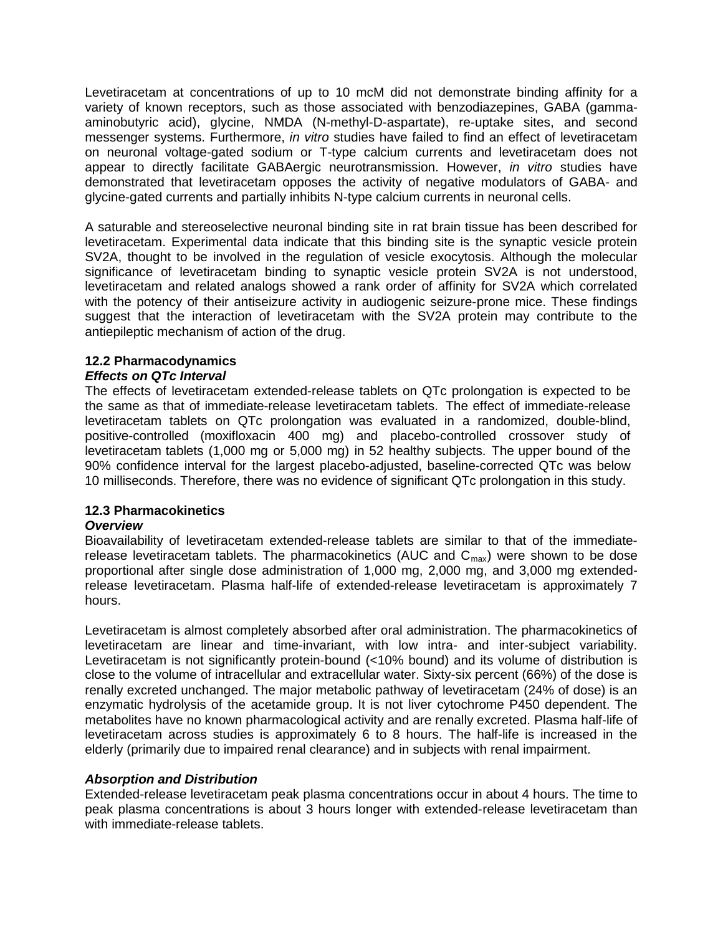Levetiracetam at concentrations of up to 10 mcM did not demonstrate binding affinity for a variety of known receptors, such as those associated with benzodiazepines, GABA (gammaaminobutyric acid), glycine, NMDA (N-methyl-D-aspartate), re-uptake sites, and second messenger systems. Furthermore, *in vitro* studies have failed to find an effect of levetiracetam on neuronal voltage-gated sodium or T-type calcium currents and levetiracetam does not appear to directly facilitate GABAergic neurotransmission. However, *in vitro* studies have demonstrated that levetiracetam opposes the activity of negative modulators of GABA- and glycine-gated currents and partially inhibits N-type calcium currents in neuronal cells.

A saturable and stereoselective neuronal binding site in rat brain tissue has been described for levetiracetam. Experimental data indicate that this binding site is the synaptic vesicle protein SV2A, thought to be involved in the regulation of vesicle exocytosis. Although the molecular significance of levetiracetam binding to synaptic vesicle protein SV2A is not understood, levetiracetam and related analogs showed a rank order of affinity for SV2A which correlated with the potency of their antiseizure activity in audiogenic seizure-prone mice. These findings suggest that the interaction of levetiracetam with the SV2A protein may contribute to the antiepileptic mechanism of action of the drug.

### <span id="page-15-0"></span>**12.2 Pharmacodynamics**

### *Effects on QTc Interval*

The effects of levetiracetam extended-release tablets on QTc prolongation is expected to be the same as that of immediate-release levetiracetam tablets. The effect of immediate-release levetiracetam tablets on QTc prolongation was evaluated in a randomized, double-blind, positive-controlled (moxifloxacin 400 mg) and placebo-controlled crossover study of levetiracetam tablets (1,000 mg or 5,000 mg) in 52 healthy subjects. The upper bound of the 90% confidence interval for the largest placebo-adjusted, baseline-corrected QTc was below 10 milliseconds. Therefore, there was no evidence of significant QTc prolongation in this study.

### <span id="page-15-1"></span>**12.3 Pharmacokinetics**

#### *Overview*

Bioavailability of levetiracetam extended-release tablets are similar to that of the immediaterelease levetiracetam tablets. The pharmacokinetics (AUC and  $C_{\text{max}}$ ) were shown to be dose proportional after single dose administration of 1,000 mg, 2,000 mg, and 3,000 mg extendedrelease levetiracetam. Plasma half-life of extended-release levetiracetam is approximately 7 hours.

Levetiracetam is almost completely absorbed after oral administration. The pharmacokinetics of levetiracetam are linear and time-invariant, with low intra- and inter-subject variability. Levetiracetam is not significantly protein-bound (<10% bound) and its volume of distribution is close to the volume of intracellular and extracellular water. Sixty-six percent (66%) of the dose is renally excreted unchanged. The major metabolic pathway of levetiracetam (24% of dose) is an enzymatic hydrolysis of the acetamide group. It is not liver cytochrome P450 dependent. The metabolites have no known pharmacological activity and are renally excreted. Plasma half-life of levetiracetam across studies is approximately 6 to 8 hours. The half-life is increased in the elderly (primarily due to impaired renal clearance) and in subjects with renal impairment.

### *Absorption and Distribution*

Extended-release levetiracetam peak plasma concentrations occur in about 4 hours. The time to peak plasma concentrations is about 3 hours longer with extended-release levetiracetam than with immediate-release tablets.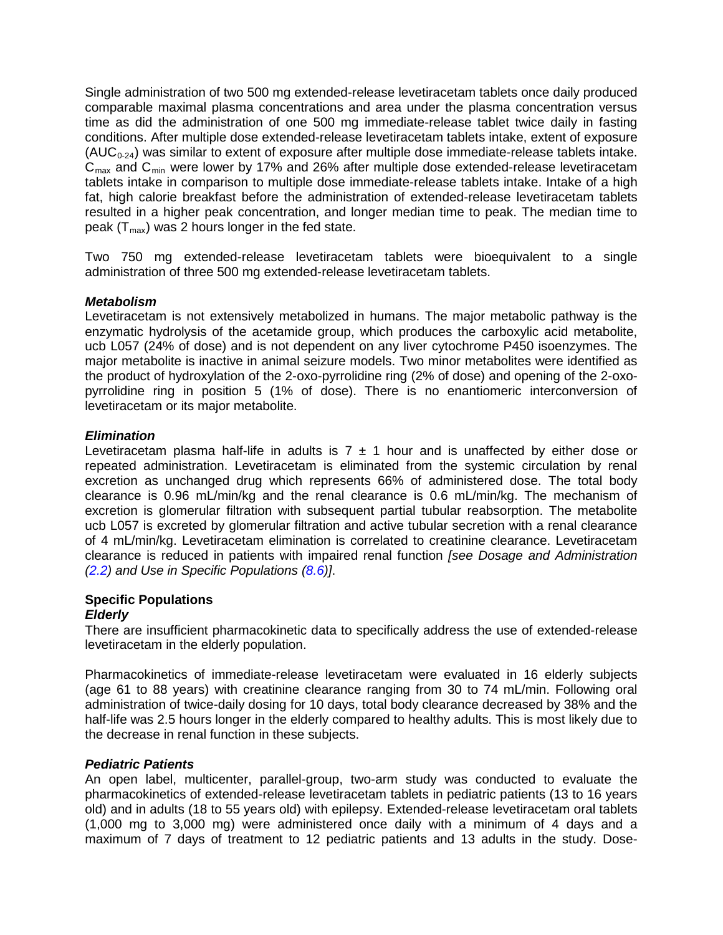Single administration of two 500 mg extended-release levetiracetam tablets once daily produced comparable maximal plasma concentrations and area under the plasma concentration versus time as did the administration of one 500 mg immediate-release tablet twice daily in fasting conditions. After multiple dose extended-release levetiracetam tablets intake, extent of exposure  $(AUC_{0-24})$  was similar to extent of exposure after multiple dose immediate-release tablets intake.  $C<sub>max</sub>$  and  $C<sub>min</sub>$  were lower by 17% and 26% after multiple dose extended-release levetiracetam tablets intake in comparison to multiple dose immediate-release tablets intake. Intake of a high fat, high calorie breakfast before the administration of extended-release levetiracetam tablets resulted in a higher peak concentration, and longer median time to peak. The median time to peak  $(T<sub>max</sub>)$  was 2 hours longer in the fed state.

Two 750 mg extended-release levetiracetam tablets were bioequivalent to a single administration of three 500 mg extended-release levetiracetam tablets.

### *Metabolism*

Levetiracetam is not extensively metabolized in humans. The major metabolic pathway is the enzymatic hydrolysis of the acetamide group, which produces the carboxylic acid metabolite, ucb L057 (24% of dose) and is not dependent on any liver cytochrome P450 isoenzymes. The major metabolite is inactive in animal seizure models. Two minor metabolites were identified as the product of hydroxylation of the 2-oxo-pyrrolidine ring (2% of dose) and opening of the 2-oxopyrrolidine ring in position 5 (1% of dose). There is no enantiomeric interconversion of levetiracetam or its major metabolite.

### *Elimination*

Levetiracetam plasma half-life in adults is  $7 \pm 1$  hour and is unaffected by either dose or repeated administration. Levetiracetam is eliminated from the systemic circulation by renal excretion as unchanged drug which represents 66% of administered dose. The total body clearance is 0.96 mL/min/kg and the renal clearance is 0.6 mL/min/kg. The mechanism of excretion is glomerular filtration with subsequent partial tubular reabsorption. The metabolite ucb L057 is excreted by glomerular filtration and active tubular secretion with a renal clearance of 4 mL/min/kg. Levetiracetam elimination is correlated to creatinine clearance. Levetiracetam clearance is reduced in patients with impaired renal function *[see Dosage and Administration [\(2.2\)](#page-1-4) and Use in Specific Populations [\(8.6\)](#page-13-1)]*.

#### **Specific Populations** *Elderly*

There are insufficient pharmacokinetic data to specifically address the use of extended-release levetiracetam in the elderly population.

Pharmacokinetics of immediate-release levetiracetam were evaluated in 16 elderly subjects (age 61 to 88 years) with creatinine clearance ranging from 30 to 74 mL/min. Following oral administration of twice-daily dosing for 10 days, total body clearance decreased by 38% and the half-life was 2.5 hours longer in the elderly compared to healthy adults. This is most likely due to the decrease in renal function in these subjects.

#### *Pediatric Patients*

An open label, multicenter, parallel-group, two-arm study was conducted to evaluate the pharmacokinetics of extended-release levetiracetam tablets in pediatric patients (13 to 16 years old) and in adults (18 to 55 years old) with epilepsy. Extended-release levetiracetam oral tablets (1,000 mg to 3,000 mg) were administered once daily with a minimum of 4 days and a maximum of 7 days of treatment to 12 pediatric patients and 13 adults in the study. Dose-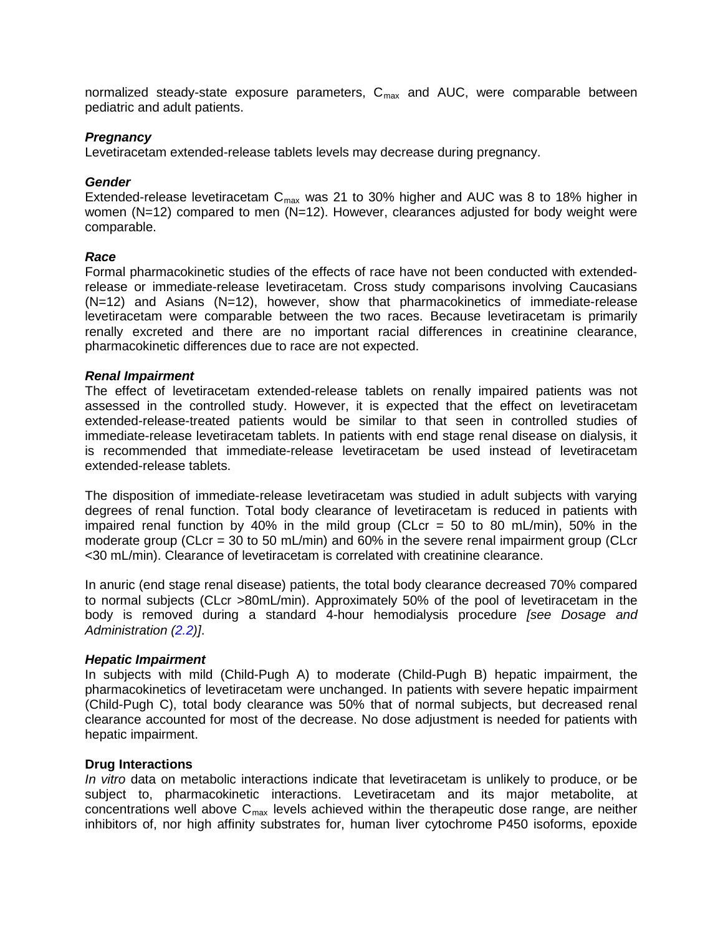normalized steady-state exposure parameters,  $C_{\text{max}}$  and AUC, were comparable between pediatric and adult patients.

#### *Pregnancy*

Levetiracetam extended-release tablets levels may decrease during pregnancy.

#### *Gender*

Extended-release levetiracetam  $C_{\text{max}}$  was 21 to 30% higher and AUC was 8 to 18% higher in women (N=12) compared to men (N=12). However, clearances adjusted for body weight were comparable.

#### *Race*

Formal pharmacokinetic studies of the effects of race have not been conducted with extendedrelease or immediate-release levetiracetam. Cross study comparisons involving Caucasians (N=12) and Asians (N=12), however, show that pharmacokinetics of immediate-release levetiracetam were comparable between the two races. Because levetiracetam is primarily renally excreted and there are no important racial differences in creatinine clearance, pharmacokinetic differences due to race are not expected.

#### *Renal Impairment*

The effect of levetiracetam extended-release tablets on renally impaired patients was not assessed in the controlled study. However, it is expected that the effect on levetiracetam extended-release-treated patients would be similar to that seen in controlled studies of immediate-release levetiracetam tablets. In patients with end stage renal disease on dialysis, it is recommended that immediate-release levetiracetam be used instead of levetiracetam extended-release tablets.

The disposition of immediate-release levetiracetam was studied in adult subjects with varying degrees of renal function. Total body clearance of levetiracetam is reduced in patients with impaired renal function by 40% in the mild group (CLcr = 50 to 80 mL/min), 50% in the moderate group (CLcr = 30 to 50 mL/min) and 60% in the severe renal impairment group (CLcr <30 mL/min). Clearance of levetiracetam is correlated with creatinine clearance.

In anuric (end stage renal disease) patients, the total body clearance decreased 70% compared to normal subjects (CLcr >80mL/min). Approximately 50% of the pool of levetiracetam in the body is removed during a standard 4-hour hemodialysis procedure *[see Dosage and Administration [\(2.2\)](#page-1-4)]*.

#### *Hepatic Impairment*

In subjects with mild (Child-Pugh A) to moderate (Child-Pugh B) hepatic impairment, the pharmacokinetics of levetiracetam were unchanged. In patients with severe hepatic impairment (Child-Pugh C), total body clearance was 50% that of normal subjects, but decreased renal clearance accounted for most of the decrease. No dose adjustment is needed for patients with hepatic impairment.

#### **Drug Interactions**

*In vitro* data on metabolic interactions indicate that levetiracetam is unlikely to produce, or be subject to, pharmacokinetic interactions. Levetiracetam and its major metabolite, at concentrations well above  $C_{\text{max}}$  levels achieved within the therapeutic dose range, are neither inhibitors of, nor high affinity substrates for, human liver cytochrome P450 isoforms, epoxide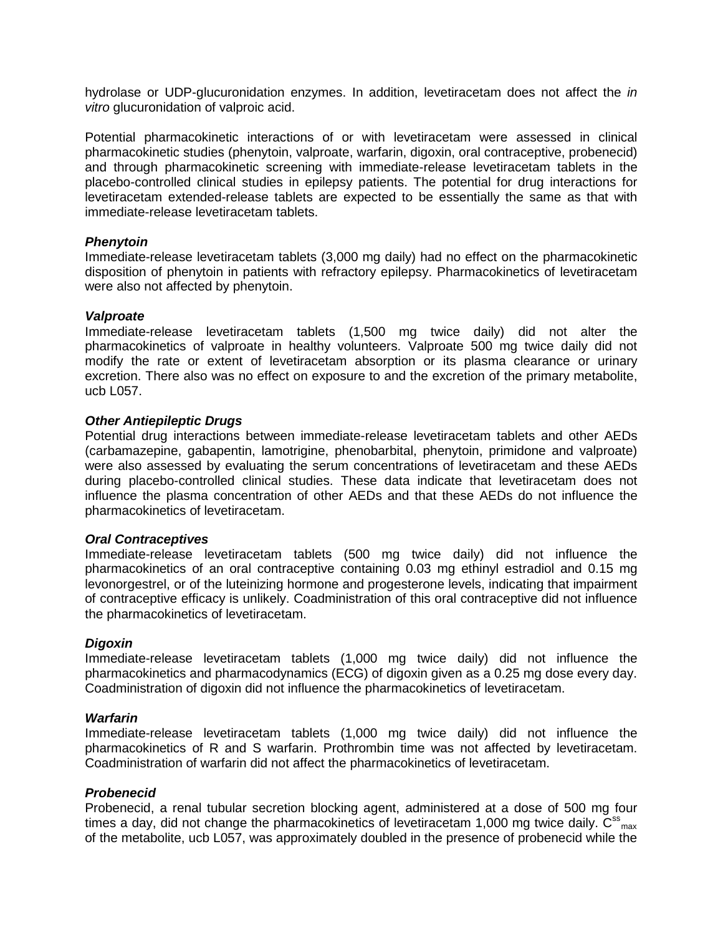hydrolase or UDP-glucuronidation enzymes. In addition, levetiracetam does not affect the *in vitro* glucuronidation of valproic acid.

Potential pharmacokinetic interactions of or with levetiracetam were assessed in clinical pharmacokinetic studies (phenytoin, valproate, warfarin, digoxin, oral contraceptive, probenecid) and through pharmacokinetic screening with immediate-release levetiracetam tablets in the placebo-controlled clinical studies in epilepsy patients. The potential for drug interactions for levetiracetam extended-release tablets are expected to be essentially the same as that with immediate-release levetiracetam tablets.

#### *Phenytoin*

Immediate-release levetiracetam tablets (3,000 mg daily) had no effect on the pharmacokinetic disposition of phenytoin in patients with refractory epilepsy. Pharmacokinetics of levetiracetam were also not affected by phenytoin.

#### *Valproate*

Immediate-release levetiracetam tablets (1,500 mg twice daily) did not alter the pharmacokinetics of valproate in healthy volunteers. Valproate 500 mg twice daily did not modify the rate or extent of levetiracetam absorption or its plasma clearance or urinary excretion. There also was no effect on exposure to and the excretion of the primary metabolite, ucb L057.

### *Other Antiepileptic Drugs*

Potential drug interactions between immediate-release levetiracetam tablets and other AEDs (carbamazepine, gabapentin, lamotrigine, phenobarbital, phenytoin, primidone and valproate) were also assessed by evaluating the serum concentrations of levetiracetam and these AEDs during placebo-controlled clinical studies. These data indicate that levetiracetam does not influence the plasma concentration of other AEDs and that these AEDs do not influence the pharmacokinetics of levetiracetam.

#### *Oral Contraceptives*

Immediate-release levetiracetam tablets (500 mg twice daily) did not influence the pharmacokinetics of an oral contraceptive containing 0.03 mg ethinyl estradiol and 0.15 mg levonorgestrel, or of the luteinizing hormone and progesterone levels, indicating that impairment of contraceptive efficacy is unlikely. Coadministration of this oral contraceptive did not influence the pharmacokinetics of levetiracetam.

#### *Digoxin*

Immediate-release levetiracetam tablets (1,000 mg twice daily) did not influence the pharmacokinetics and pharmacodynamics (ECG) of digoxin given as a 0.25 mg dose every day. Coadministration of digoxin did not influence the pharmacokinetics of levetiracetam.

#### *Warfarin*

Immediate-release levetiracetam tablets (1,000 mg twice daily) did not influence the pharmacokinetics of R and S warfarin. Prothrombin time was not affected by levetiracetam. Coadministration of warfarin did not affect the pharmacokinetics of levetiracetam.

#### *Probenecid*

Probenecid, a renal tubular secretion blocking agent, administered at a dose of 500 mg four times a day, did not change the pharmacokinetics of levetiracetam 1,000 mg twice daily.  $C_{\text{max}}^{\text{ss}}$ of the metabolite, ucb L057, was approximately doubled in the presence of probenecid while the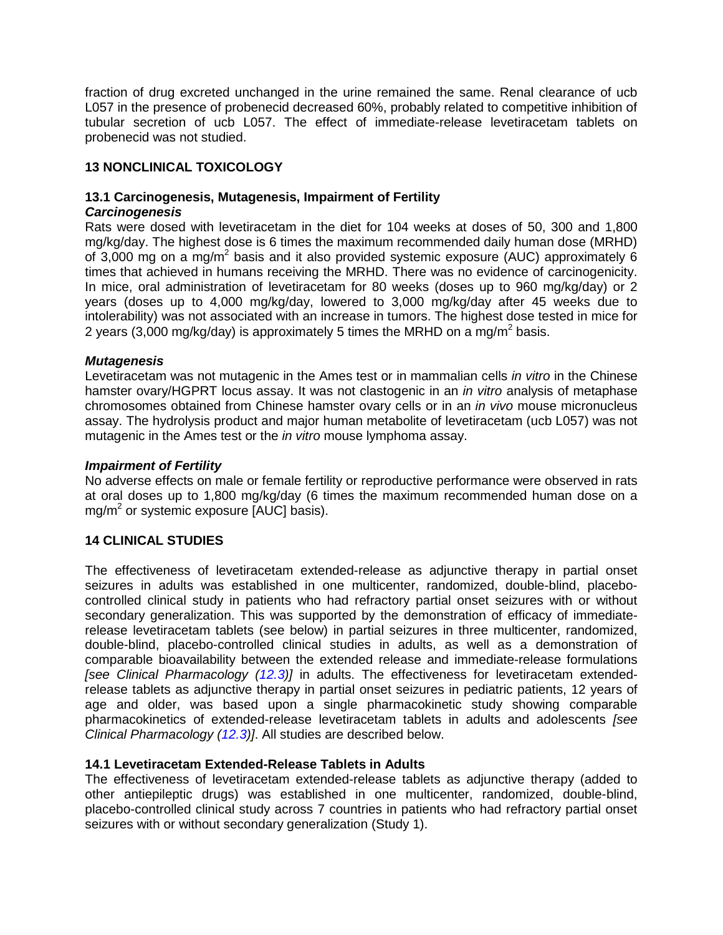fraction of drug excreted unchanged in the urine remained the same. Renal clearance of ucb L057 in the presence of probenecid decreased 60%, probably related to competitive inhibition of tubular secretion of ucb L057. The effect of immediate-release levetiracetam tablets on probenecid was not studied.

## <span id="page-19-0"></span>**13 NONCLINICAL TOXICOLOGY**

# <span id="page-19-1"></span>**13.1 Carcinogenesis, Mutagenesis, Impairment of Fertility**

### *Carcinogenesis*

Rats were dosed with levetiracetam in the diet for 104 weeks at doses of 50, 300 and 1,800 mg/kg/day. The highest dose is 6 times the maximum recommended daily human dose (MRHD) of 3,000 mg on a mg/m<sup>2</sup> basis and it also provided systemic exposure (AUC) approximately 6 times that achieved in humans receiving the MRHD. There was no evidence of carcinogenicity. In mice, oral administration of levetiracetam for 80 weeks (doses up to 960 mg/kg/day) or 2 years (doses up to 4,000 mg/kg/day, lowered to 3,000 mg/kg/day after 45 weeks due to intolerability) was not associated with an increase in tumors. The highest dose tested in mice for 2 years (3,000 mg/kg/day) is approximately 5 times the MRHD on a mg/m<sup>2</sup> basis.

### *Mutagenesis*

Levetiracetam was not mutagenic in the Ames test or in mammalian cells *in vitro* in the Chinese hamster ovary/HGPRT locus assay. It was not clastogenic in an *in vitro* analysis of metaphase chromosomes obtained from Chinese hamster ovary cells or in an *in vivo* mouse micronucleus assay. The hydrolysis product and major human metabolite of levetiracetam (ucb L057) was not mutagenic in the Ames test or the *in vitro* mouse lymphoma assay.

#### *Impairment of Fertility*

No adverse effects on male or female fertility or reproductive performance were observed in rats at oral doses up to 1,800 mg/kg/day (6 times the maximum recommended human dose on a  $mg/m<sup>2</sup>$  or systemic exposure [AUC] basis).

### <span id="page-19-2"></span>**14 CLINICAL STUDIES**

The effectiveness of levetiracetam extended-release as adjunctive therapy in partial onset seizures in adults was established in one multicenter, randomized, double-blind, placebocontrolled clinical study in patients who had refractory partial onset seizures with or without secondary generalization. This was supported by the demonstration of efficacy of immediaterelease levetiracetam tablets (see below) in partial seizures in three multicenter, randomized, double-blind, placebo-controlled clinical studies in adults, as well as a demonstration of comparable bioavailability between the extended release and immediate-release formulations *[see Clinical Pharmacology [\(12.3\)](#page-15-1)]* in adults. The effectiveness for levetiracetam extendedrelease tablets as adjunctive therapy in partial onset seizures in pediatric patients, 12 years of age and older, was based upon a single pharmacokinetic study showing comparable pharmacokinetics of extended-release levetiracetam tablets in adults and adolescents *[see Clinical Pharmacology [\(12.3\)](#page-15-1)]*. All studies are described below.

### <span id="page-19-3"></span>**14.1 Levetiracetam Extended-Release Tablets in Adults**

The effectiveness of levetiracetam extended-release tablets as adjunctive therapy (added to other antiepileptic drugs) was established in one multicenter, randomized, double-blind, placebo-controlled clinical study across 7 countries in patients who had refractory partial onset seizures with or without secondary generalization (Study 1).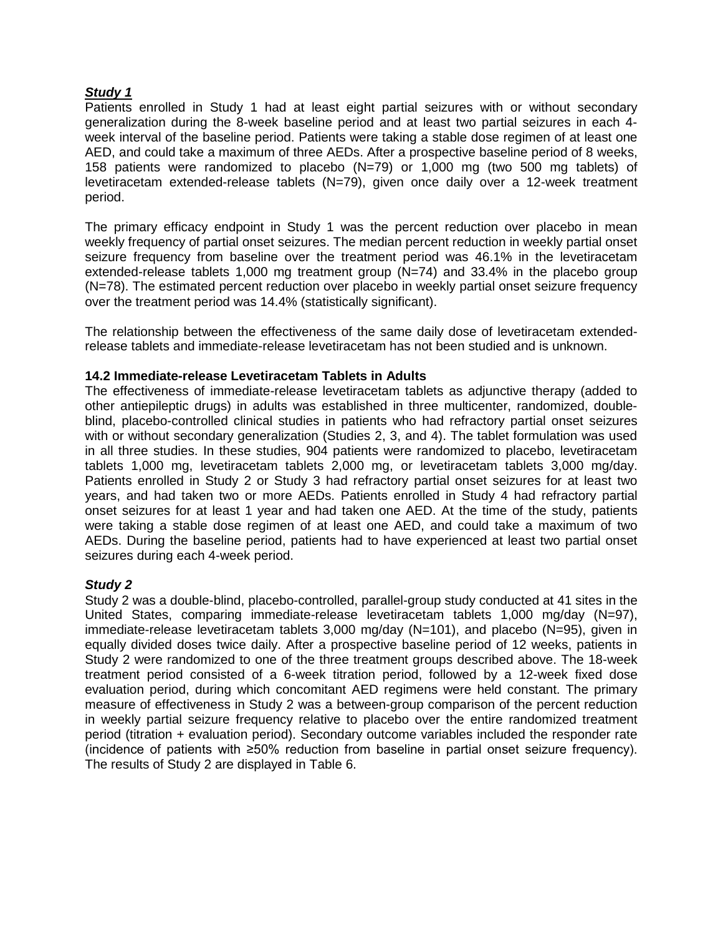## *Study 1*

Patients enrolled in Study 1 had at least eight partial seizures with or without secondary generalization during the 8-week baseline period and at least two partial seizures in each 4 week interval of the baseline period. Patients were taking a stable dose regimen of at least one AED, and could take a maximum of three AEDs. After a prospective baseline period of 8 weeks, 158 patients were randomized to placebo (N=79) or 1,000 mg (two 500 mg tablets) of levetiracetam extended-release tablets (N=79), given once daily over a 12-week treatment period.

The primary efficacy endpoint in Study 1 was the percent reduction over placebo in mean weekly frequency of partial onset seizures. The median percent reduction in weekly partial onset seizure frequency from baseline over the treatment period was 46.1% in the levetiracetam extended-release tablets 1,000 mg treatment group (N=74) and 33.4% in the placebo group (N=78). The estimated percent reduction over placebo in weekly partial onset seizure frequency over the treatment period was 14.4% (statistically significant).

The relationship between the effectiveness of the same daily dose of levetiracetam extendedrelease tablets and immediate-release levetiracetam has not been studied and is unknown.

### <span id="page-20-0"></span>**14.2 Immediate-release Levetiracetam Tablets in Adults**

The effectiveness of immediate-release levetiracetam tablets as adjunctive therapy (added to other antiepileptic drugs) in adults was established in three multicenter, randomized, doubleblind, placebo-controlled clinical studies in patients who had refractory partial onset seizures with or without secondary generalization (Studies 2, 3, and 4). The tablet formulation was used in all three studies. In these studies, 904 patients were randomized to placebo, levetiracetam tablets 1,000 mg, levetiracetam tablets 2,000 mg, or levetiracetam tablets 3,000 mg/day. Patients enrolled in Study 2 or Study 3 had refractory partial onset seizures for at least two years, and had taken two or more AEDs. Patients enrolled in Study 4 had refractory partial onset seizures for at least 1 year and had taken one AED. At the time of the study, patients were taking a stable dose regimen of at least one AED, and could take a maximum of two AEDs. During the baseline period, patients had to have experienced at least two partial onset seizures during each 4-week period.

### *Study 2*

Study 2 was a double-blind, placebo-controlled, parallel-group study conducted at 41 sites in the United States, comparing immediate-release levetiracetam tablets 1,000 mg/day (N=97), immediate-release levetiracetam tablets 3,000 mg/day (N=101), and placebo (N=95), given in equally divided doses twice daily. After a prospective baseline period of 12 weeks, patients in Study 2 were randomized to one of the three treatment groups described above. The 18-week treatment period consisted of a 6-week titration period, followed by a 12-week fixed dose evaluation period, during which concomitant AED regimens were held constant. The primary measure of effectiveness in Study 2 was a between-group comparison of the percent reduction in weekly partial seizure frequency relative to placebo over the entire randomized treatment period (titration + evaluation period). Secondary outcome variables included the responder rate (incidence of patients with ≥50% reduction from baseline in partial onset seizure frequency). The results of Study 2 are displayed in Table 6.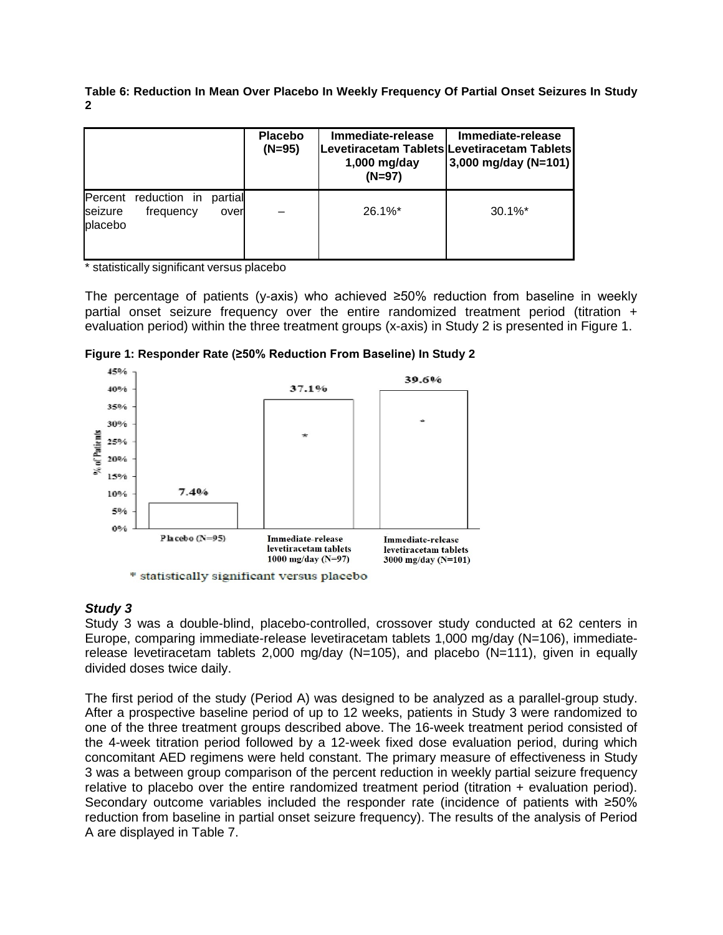**Table 6: Reduction In Mean Over Placebo In Weekly Frequency Of Partial Onset Seizures In Study 2**

|                    |                                   |                 | <b>Placebo</b><br>$(N=95)$ | Immediate-release<br>$1,000$ mg/day<br>$(N=97)$ | Immediate-release<br><b>Levetiracetam Tablets Levetiracetam Tablets</b><br>3,000 mg/day (N=101) |
|--------------------|-----------------------------------|-----------------|----------------------------|-------------------------------------------------|-------------------------------------------------------------------------------------------------|
| seizure<br>placebo | Percent reduction in<br>frequency | partial<br>over |                            | $26.1\%$ *                                      | $30.1\%$ <sup>*</sup>                                                                           |

\* statistically significant versus placebo

The percentage of patients (y-axis) who achieved  $\geq 50\%$  reduction from baseline in weekly partial onset seizure frequency over the entire randomized treatment period (titration + evaluation period) within the three treatment groups (x-axis) in Study 2 is presented in Figure 1.



**Figure 1: Responder Rate (≥50% Reduction From Baseline) In Study 2**

#### *Study 3*

Study 3 was a double-blind, placebo-controlled, crossover study conducted at 62 centers in Europe, comparing immediate-release levetiracetam tablets 1,000 mg/day (N=106), immediaterelease levetiracetam tablets 2,000 mg/day (N=105), and placebo (N=111), given in equally divided doses twice daily.

The first period of the study (Period A) was designed to be analyzed as a parallel-group study. After a prospective baseline period of up to 12 weeks, patients in Study 3 were randomized to one of the three treatment groups described above. The 16-week treatment period consisted of the 4-week titration period followed by a 12-week fixed dose evaluation period, during which concomitant AED regimens were held constant. The primary measure of effectiveness in Study 3 was a between group comparison of the percent reduction in weekly partial seizure frequency relative to placebo over the entire randomized treatment period (titration + evaluation period). Secondary outcome variables included the responder rate (incidence of patients with ≥50% reduction from baseline in partial onset seizure frequency). The results of the analysis of Period A are displayed in Table 7.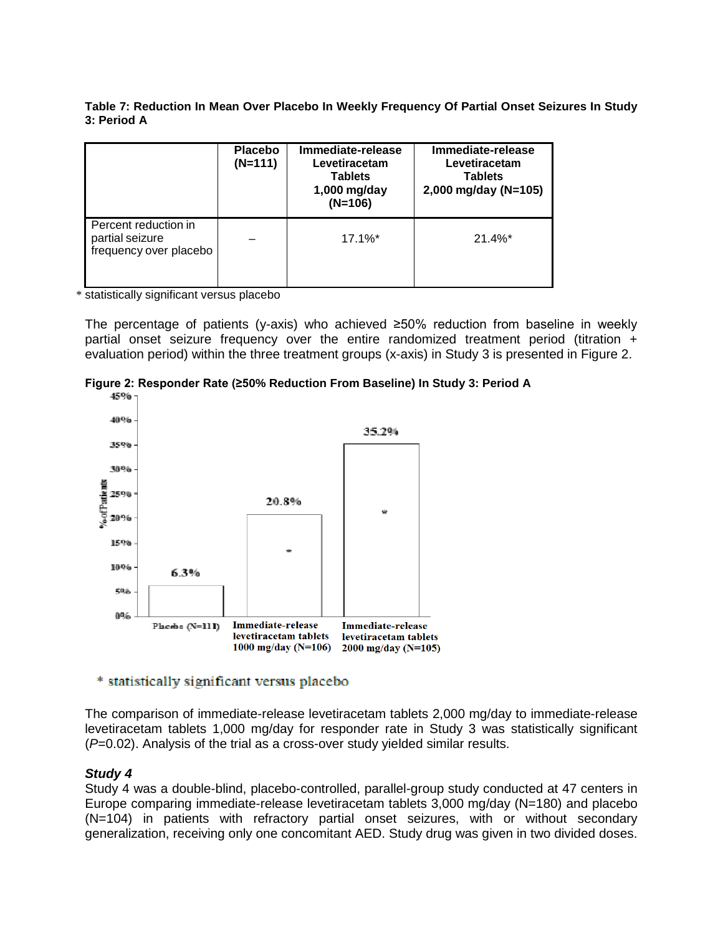**Table 7: Reduction In Mean Over Placebo In Weekly Frequency Of Partial Onset Seizures In Study 3: Period A**

|                                                                   | <b>Placebo</b><br>$(N=111)$ | Immediate-release<br>Levetiracetam<br><b>Tablets</b><br>1,000 mg/day<br>$(N=106)$ | Immediate-release<br>Levetiracetam<br><b>Tablets</b><br>2,000 mg/day (N=105) |
|-------------------------------------------------------------------|-----------------------------|-----------------------------------------------------------------------------------|------------------------------------------------------------------------------|
| Percent reduction in<br>partial seizure<br>frequency over placebo |                             | $17.1\%$ *                                                                        | $21.4\%$ <sup>*</sup>                                                        |

\* statistically significant versus placebo

The percentage of patients (y-axis) who achieved ≥50% reduction from baseline in weekly partial onset seizure frequency over the entire randomized treatment period (titration + evaluation period) within the three treatment groups (x-axis) in Study 3 is presented in Figure 2.





#### \* statistically significant versus placebo

The comparison of immediate-release levetiracetam tablets 2,000 mg/day to immediate-release levetiracetam tablets 1,000 mg/day for responder rate in Study 3 was statistically significant (*P*=0.02). Analysis of the trial as a cross-over study yielded similar results.

### *Study 4*

Study 4 was a double-blind, placebo-controlled, parallel-group study conducted at 47 centers in Europe comparing immediate-release levetiracetam tablets 3,000 mg/day (N=180) and placebo (N=104) in patients with refractory partial onset seizures, with or without secondary generalization, receiving only one concomitant AED. Study drug was given in two divided doses.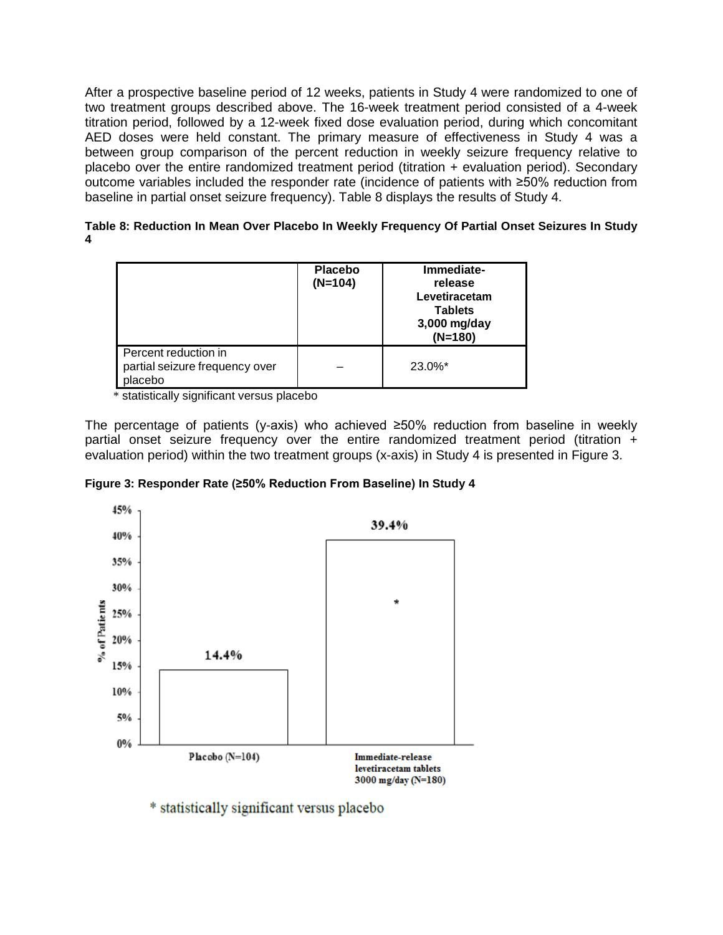After a prospective baseline period of 12 weeks, patients in Study 4 were randomized to one of two treatment groups described above. The 16-week treatment period consisted of a 4-week titration period, followed by a 12-week fixed dose evaluation period, during which concomitant AED doses were held constant. The primary measure of effectiveness in Study 4 was a between group comparison of the percent reduction in weekly seizure frequency relative to placebo over the entire randomized treatment period (titration + evaluation period). Secondary outcome variables included the responder rate (incidence of patients with ≥50% reduction from baseline in partial onset seizure frequency). Table 8 displays the results of Study 4.

| Table 8: Reduction In Mean Over Placebo In Weekly Frequency Of Partial Onset Seizures In Study |  |
|------------------------------------------------------------------------------------------------|--|
|                                                                                                |  |

|                                                                  | <b>Placebo</b><br>$(N=104)$ | Immediate-<br>release<br>Levetiracetam<br><b>Tablets</b><br>3,000 mg/day<br>$(N=180)$ |
|------------------------------------------------------------------|-----------------------------|---------------------------------------------------------------------------------------|
| Percent reduction in<br>partial seizure frequency over<br>lacebo |                             | $23.0\%$ <sup>*</sup>                                                                 |

\* statistically significant versus placebo

The percentage of patients (y-axis) who achieved ≥50% reduction from baseline in weekly partial onset seizure frequency over the entire randomized treatment period (titration + evaluation period) within the two treatment groups (x-axis) in Study 4 is presented in Figure 3.





\* statistically significant versus placebo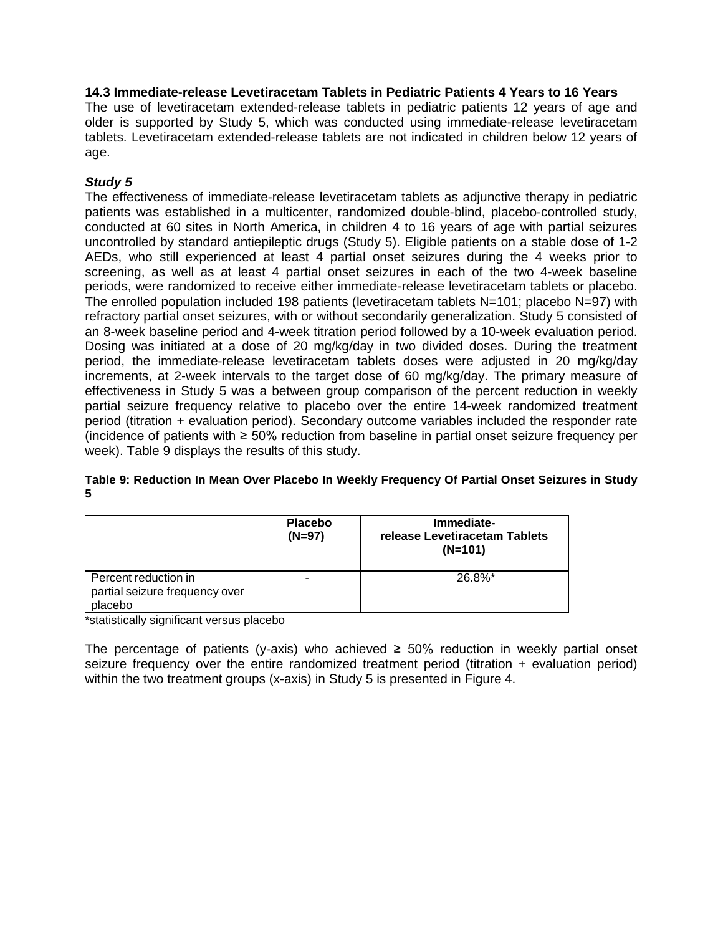### <span id="page-24-0"></span>**14.3 Immediate-release Levetiracetam Tablets in Pediatric Patients 4 Years to 16 Years**

The use of levetiracetam extended-release tablets in pediatric patients 12 years of age and older is supported by Study 5, which was conducted using immediate-release levetiracetam tablets. Levetiracetam extended-release tablets are not indicated in children below 12 years of age.

## *Study 5*

The effectiveness of immediate-release levetiracetam tablets as adjunctive therapy in pediatric patients was established in a multicenter, randomized double-blind, placebo-controlled study, conducted at 60 sites in North America, in children 4 to 16 years of age with partial seizures uncontrolled by standard antiepileptic drugs (Study 5). Eligible patients on a stable dose of 1-2 AEDs, who still experienced at least 4 partial onset seizures during the 4 weeks prior to screening, as well as at least 4 partial onset seizures in each of the two 4-week baseline periods, were randomized to receive either immediate-release levetiracetam tablets or placebo. The enrolled population included 198 patients (levetiracetam tablets N=101; placebo N=97) with refractory partial onset seizures, with or without secondarily generalization. Study 5 consisted of an 8-week baseline period and 4-week titration period followed by a 10-week evaluation period. Dosing was initiated at a dose of 20 mg/kg/day in two divided doses. During the treatment period, the immediate-release levetiracetam tablets doses were adjusted in 20 mg/kg/day increments, at 2-week intervals to the target dose of 60 mg/kg/day. The primary measure of effectiveness in Study 5 was a between group comparison of the percent reduction in weekly partial seizure frequency relative to placebo over the entire 14-week randomized treatment period (titration + evaluation period). Secondary outcome variables included the responder rate (incidence of patients with ≥ 50% reduction from baseline in partial onset seizure frequency per week). Table 9 displays the results of this study.

#### **Table 9: Reduction In Mean Over Placebo In Weekly Frequency Of Partial Onset Seizures in Study 5**

|                                                                   | <b>Placebo</b><br>$(N=97)$ | Immediate-<br>release Levetiracetam Tablets<br>$(N=101)$ |
|-------------------------------------------------------------------|----------------------------|----------------------------------------------------------|
| Percent reduction in<br>partial seizure frequency over<br>placebo |                            | $26.8\%$ *                                               |

\*statistically significant versus placebo

The percentage of patients (y-axis) who achieved  $\geq$  50% reduction in weekly partial onset seizure frequency over the entire randomized treatment period (titration  $+$  evaluation period) within the two treatment groups (x-axis) in Study 5 is presented in Figure 4.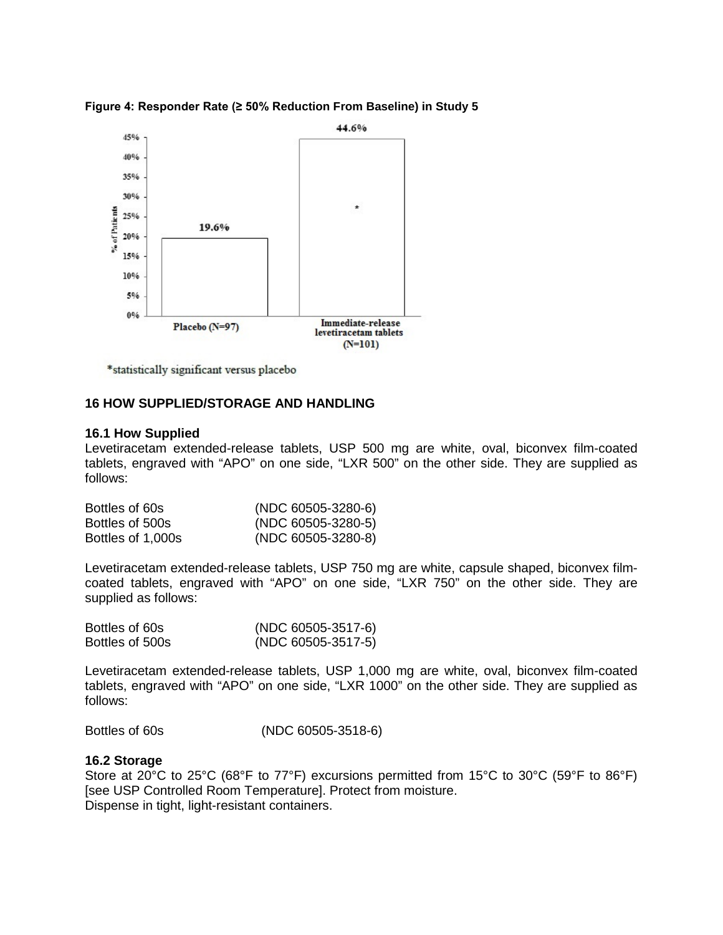



\*statistically significant versus placebo

### <span id="page-25-0"></span>**16 HOW SUPPLIED/STORAGE AND HANDLING**

#### <span id="page-25-1"></span>**16.1 How Supplied**

Levetiracetam extended-release tablets, USP 500 mg are white, oval, biconvex film-coated tablets, engraved with "APO" on one side, "LXR 500" on the other side. They are supplied as follows:

| Bottles of 60s    | $(NDC 60505-3280-6)$ |
|-------------------|----------------------|
| Bottles of 500s   | $(NDC 60505-3280-5)$ |
| Bottles of 1,000s | $(NDC 60505-3280-8)$ |

Levetiracetam extended-release tablets, USP 750 mg are white, capsule shaped, biconvex filmcoated tablets, engraved with "APO" on one side, "LXR 750" on the other side. They are supplied as follows:

| Bottles of 60s  | (NDC 60505-3517-6)   |
|-----------------|----------------------|
| Bottles of 500s | $(NDC 60505-3517-5)$ |

Levetiracetam extended-release tablets, USP 1,000 mg are white, oval, biconvex film-coated tablets, engraved with "APO" on one side, "LXR 1000" on the other side. They are supplied as follows:

Bottles of 60s (NDC 60505-3518-6)

#### <span id="page-25-2"></span>**16.2 Storage**

Store at 20°C to 25°C (68°F to 77°F) excursions permitted from 15°C to 30°C (59°F to 86°F) [see USP Controlled Room Temperature]. Protect from moisture. Dispense in tight, light-resistant containers.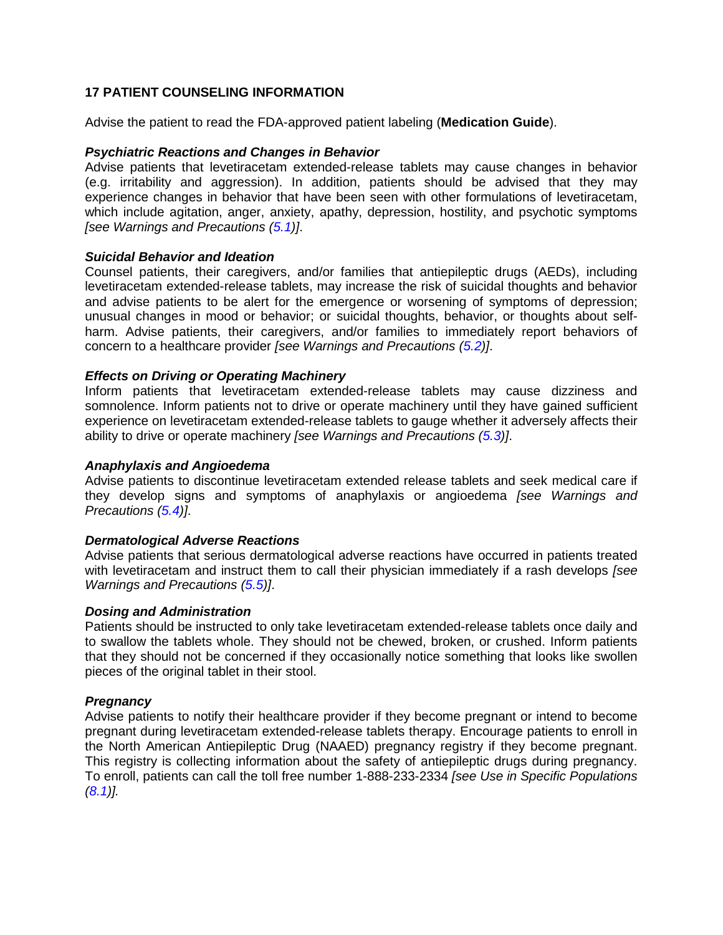### <span id="page-26-0"></span>**17 PATIENT COUNSELING INFORMATION**

Advise the patient to read the FDA-approved patient labeling (**Medication Guide**).

#### *Psychiatric Reactions and Changes in Behavior*

Advise patients that levetiracetam extended-release tablets may cause changes in behavior (e.g. irritability and aggression). In addition, patients should be advised that they may experience changes in behavior that have been seen with other formulations of levetiracetam, which include agitation, anger, anxiety, apathy, depression, hostility, and psychotic symptoms *[see Warnings and Precautions [\(5.1\)](#page-2-2)]*.

#### *Suicidal Behavior and Ideation*

Counsel patients, their caregivers, and/or families that antiepileptic drugs (AEDs), including levetiracetam extended-release tablets, may increase the risk of suicidal thoughts and behavior and advise patients to be alert for the emergence or worsening of symptoms of depression; unusual changes in mood or behavior; or suicidal thoughts, behavior, or thoughts about selfharm. Advise patients, their caregivers, and/or families to immediately report behaviors of concern to a healthcare provider *[see Warnings and Precautions [\(5.2\)](#page-3-0)]*.

### *Effects on Driving or Operating Machinery*

Inform patients that levetiracetam extended-release tablets may cause dizziness and somnolence. Inform patients not to drive or operate machinery until they have gained sufficient experience on levetiracetam extended-release tablets to gauge whether it adversely affects their ability to drive or operate machinery *[see Warnings and Precautions [\(5.3\)](#page-4-0)]*.

#### *Anaphylaxis and Angioedema*

Advise patients to discontinue levetiracetam extended release tablets and seek medical care if they develop signs and symptoms of anaphylaxis or angioedema *[see Warnings and Precautions [\(5.4\)](#page-5-0)]*.

#### *Dermatological Adverse Reactions*

Advise patients that serious dermatological adverse reactions have occurred in patients treated with levetiracetam and instruct them to call their physician immediately if a rash develops *[see Warnings and Precautions [\(5.5\)](#page-5-1)]*.

#### *Dosing and Administration*

Patients should be instructed to only take levetiracetam extended-release tablets once daily and to swallow the tablets whole. They should not be chewed, broken, or crushed. Inform patients that they should not be concerned if they occasionally notice something that looks like swollen pieces of the original tablet in their stool.

#### *Pregnancy*

Advise patients to notify their healthcare provider if they become pregnant or intend to become pregnant during levetiracetam extended-release tablets therapy. Encourage patients to enroll in the North American Antiepileptic Drug (NAAED) pregnancy registry if they become pregnant. This registry is collecting information about the safety of antiepileptic drugs during pregnancy. To enroll, patients can call the toll free number 1-888-233-2334 *[see Use in Specific Populations [\(8.1\)](#page-11-0)].*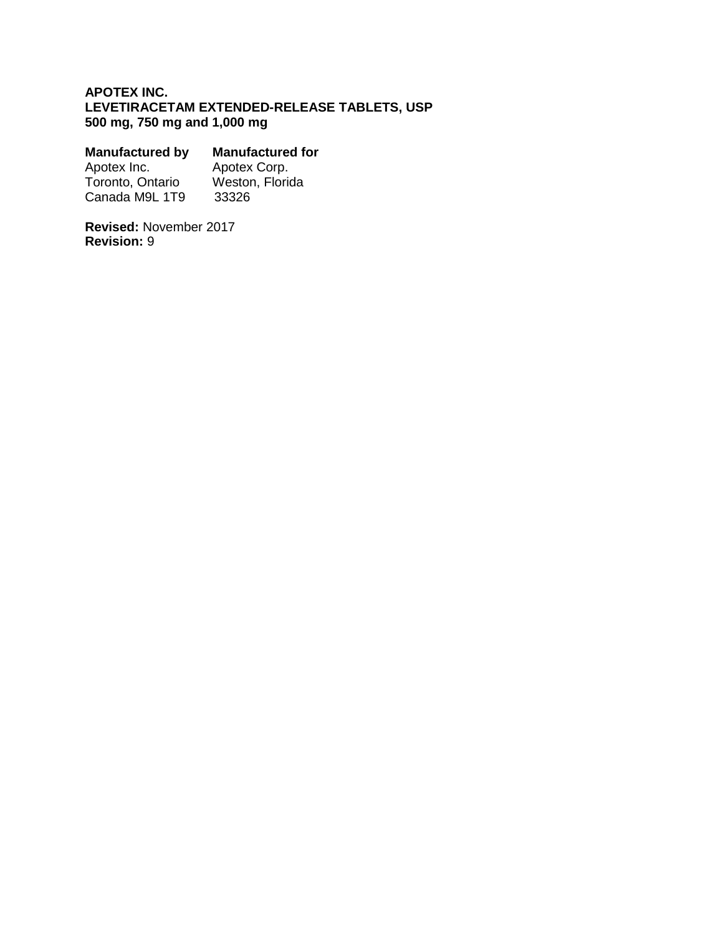## **APOTEX INC. LEVETIRACETAM EXTENDED-RELEASE TABLETS, USP 500 mg, 750 mg and 1,000 mg**

| <b>Manufactured for</b> |
|-------------------------|
| Apotex Corp.            |
| Weston, Florida         |
| 33326                   |
|                         |

**Revised:** November 2017 **Revision:** 9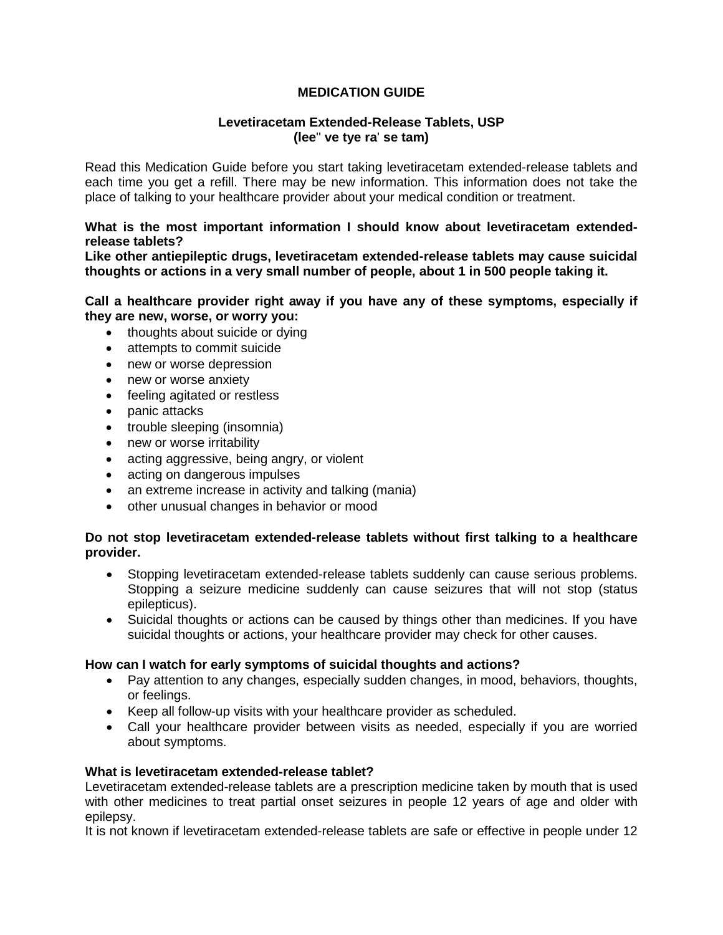## **MEDICATION GUIDE**

### **Levetiracetam Extended-Release Tablets, USP (lee**'' **ve tye ra**' **se tam)**

Read this Medication Guide before you start taking levetiracetam extended-release tablets and each time you get a refill. There may be new information. This information does not take the place of talking to your healthcare provider about your medical condition or treatment.

### **What is the most important information I should know about levetiracetam extendedrelease tablets?**

**Like other antiepileptic drugs, levetiracetam extended-release tablets may cause suicidal thoughts or actions in a very small number of people, about 1 in 500 people taking it.** 

#### **Call a healthcare provider right away if you have any of these symptoms, especially if they are new, worse, or worry you:**

- thoughts about suicide or dying
- attempts to commit suicide
- new or worse depression
- new or worse anxiety
- feeling agitated or restless
- panic attacks
- trouble sleeping (insomnia)
- new or worse irritability
- acting aggressive, being angry, or violent
- acting on dangerous impulses
- an extreme increase in activity and talking (mania)
- other unusual changes in behavior or mood

### **Do not stop levetiracetam extended-release tablets without first talking to a healthcare provider.**

- Stopping levetiracetam extended-release tablets suddenly can cause serious problems. Stopping a seizure medicine suddenly can cause seizures that will not stop (status epilepticus).
- Suicidal thoughts or actions can be caused by things other than medicines. If you have suicidal thoughts or actions, your healthcare provider may check for other causes.

#### **How can I watch for early symptoms of suicidal thoughts and actions?**

- Pay attention to any changes, especially sudden changes, in mood, behaviors, thoughts, or feelings.
- Keep all follow-up visits with your healthcare provider as scheduled.
- Call your healthcare provider between visits as needed, especially if you are worried about symptoms.

#### **What is levetiracetam extended-release tablet?**

Levetiracetam extended-release tablets are a prescription medicine taken by mouth that is used with other medicines to treat partial onset seizures in people 12 years of age and older with epilepsy.

It is not known if levetiracetam extended-release tablets are safe or effective in people under 12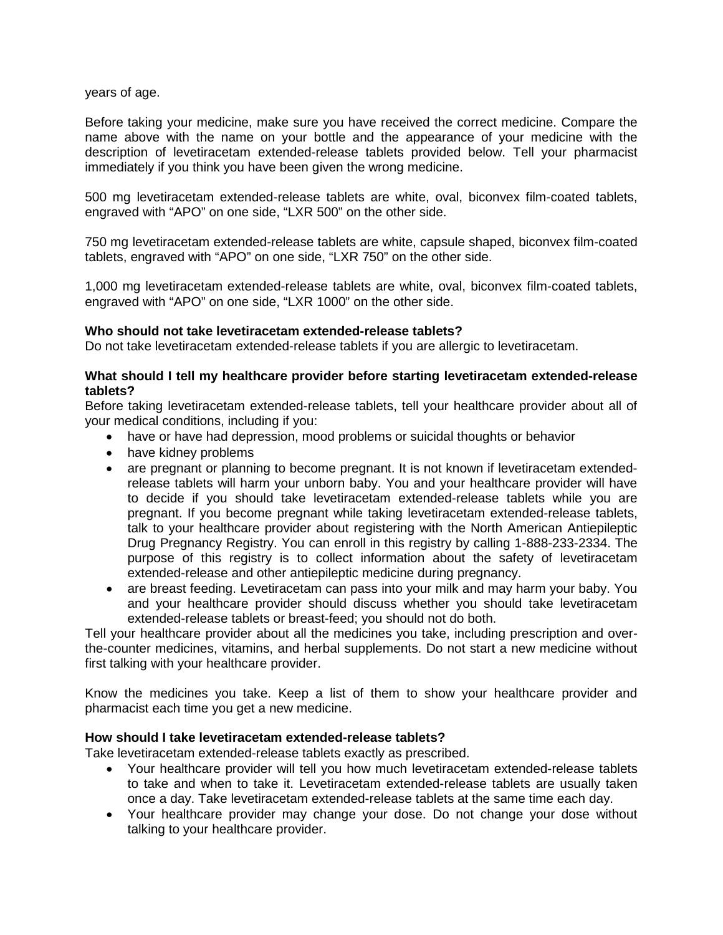years of age.

Before taking your medicine, make sure you have received the correct medicine. Compare the name above with the name on your bottle and the appearance of your medicine with the description of levetiracetam extended-release tablets provided below. Tell your pharmacist immediately if you think you have been given the wrong medicine.

500 mg levetiracetam extended-release tablets are white, oval, biconvex film-coated tablets, engraved with "APO" on one side, "LXR 500" on the other side.

750 mg levetiracetam extended-release tablets are white, capsule shaped, biconvex film-coated tablets, engraved with "APO" on one side, "LXR 750" on the other side.

1,000 mg levetiracetam extended-release tablets are white, oval, biconvex film-coated tablets, engraved with "APO" on one side, "LXR 1000" on the other side.

### **Who should not take levetiracetam extended-release tablets?**

Do not take levetiracetam extended-release tablets if you are allergic to levetiracetam.

### **What should I tell my healthcare provider before starting levetiracetam extended-release tablets?**

Before taking levetiracetam extended-release tablets, tell your healthcare provider about all of your medical conditions, including if you:

- have or have had depression, mood problems or suicidal thoughts or behavior
- have kidney problems
- are pregnant or planning to become pregnant. It is not known if levetiracetam extendedrelease tablets will harm your unborn baby. You and your healthcare provider will have to decide if you should take levetiracetam extended-release tablets while you are pregnant. If you become pregnant while taking levetiracetam extended-release tablets, talk to your healthcare provider about registering with the North American Antiepileptic Drug Pregnancy Registry. You can enroll in this registry by calling 1-888-233-2334. The purpose of this registry is to collect information about the safety of levetiracetam extended-release and other antiepileptic medicine during pregnancy.
- are breast feeding. Levetiracetam can pass into your milk and may harm your baby. You and your healthcare provider should discuss whether you should take levetiracetam extended-release tablets or breast-feed; you should not do both.

Tell your healthcare provider about all the medicines you take, including prescription and overthe-counter medicines, vitamins, and herbal supplements. Do not start a new medicine without first talking with your healthcare provider.

Know the medicines you take. Keep a list of them to show your healthcare provider and pharmacist each time you get a new medicine.

#### **How should I take levetiracetam extended-release tablets?**

Take levetiracetam extended-release tablets exactly as prescribed.

- Your healthcare provider will tell you how much levetiracetam extended-release tablets to take and when to take it. Levetiracetam extended-release tablets are usually taken once a day. Take levetiracetam extended-release tablets at the same time each day.
- Your healthcare provider may change your dose. Do not change your dose without talking to your healthcare provider.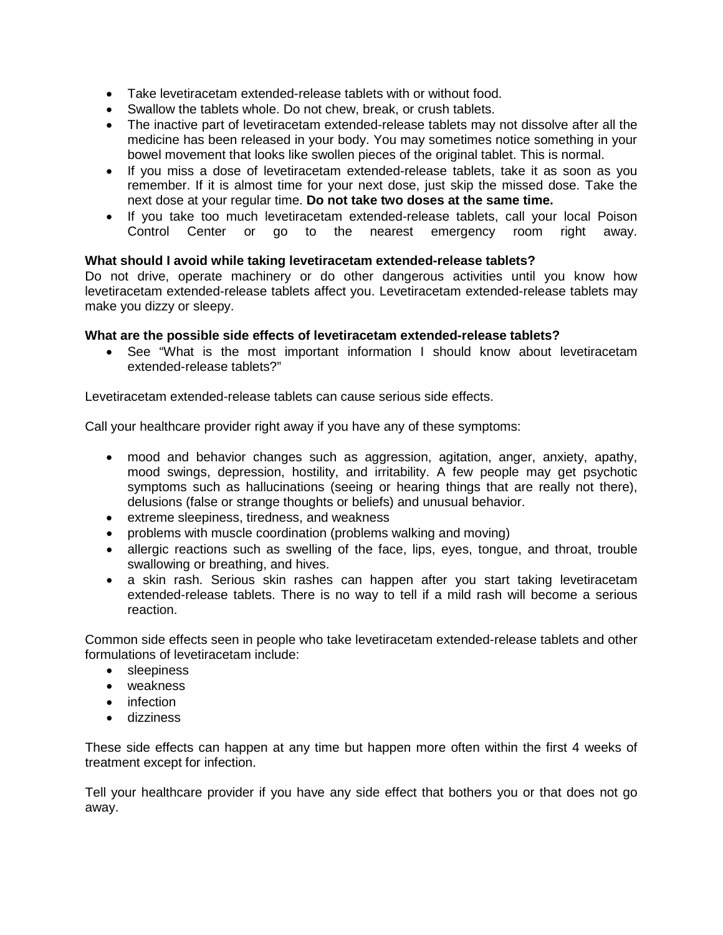- Take levetiracetam extended-release tablets with or without food.
- Swallow the tablets whole. Do not chew, break, or crush tablets.
- The inactive part of levetiracetam extended-release tablets may not dissolve after all the medicine has been released in your body. You may sometimes notice something in your bowel movement that looks like swollen pieces of the original tablet. This is normal.
- If you miss a dose of levetiracetam extended-release tablets, take it as soon as you remember. If it is almost time for your next dose, just skip the missed dose. Take the next dose at your regular time. **Do not take two doses at the same time.**
- If you take too much levetiracetam extended-release tablets, call your local Poison Control Center or go to the nearest emergency room right away.

#### **What should I avoid while taking levetiracetam extended-release tablets?**

Do not drive, operate machinery or do other dangerous activities until you know how levetiracetam extended-release tablets affect you. Levetiracetam extended-release tablets may make you dizzy or sleepy.

#### **What are the possible side effects of levetiracetam extended-release tablets?**

• See "What is the most important information I should know about levetiracetam extended-release tablets?"

Levetiracetam extended-release tablets can cause serious side effects.

Call your healthcare provider right away if you have any of these symptoms:

- mood and behavior changes such as aggression, agitation, anger, anxiety, apathy, mood swings, depression, hostility, and irritability. A few people may get psychotic symptoms such as hallucinations (seeing or hearing things that are really not there), delusions (false or strange thoughts or beliefs) and unusual behavior.
- extreme sleepiness, tiredness, and weakness
- problems with muscle coordination (problems walking and moving)
- allergic reactions such as swelling of the face, lips, eyes, tongue, and throat, trouble swallowing or breathing, and hives.
- a skin rash. Serious skin rashes can happen after you start taking levetiracetam extended-release tablets. There is no way to tell if a mild rash will become a serious reaction.

Common side effects seen in people who take levetiracetam extended-release tablets and other formulations of levetiracetam include:

- sleepiness
- weakness
- infection
- dizziness

These side effects can happen at any time but happen more often within the first 4 weeks of treatment except for infection.

Tell your healthcare provider if you have any side effect that bothers you or that does not go away.